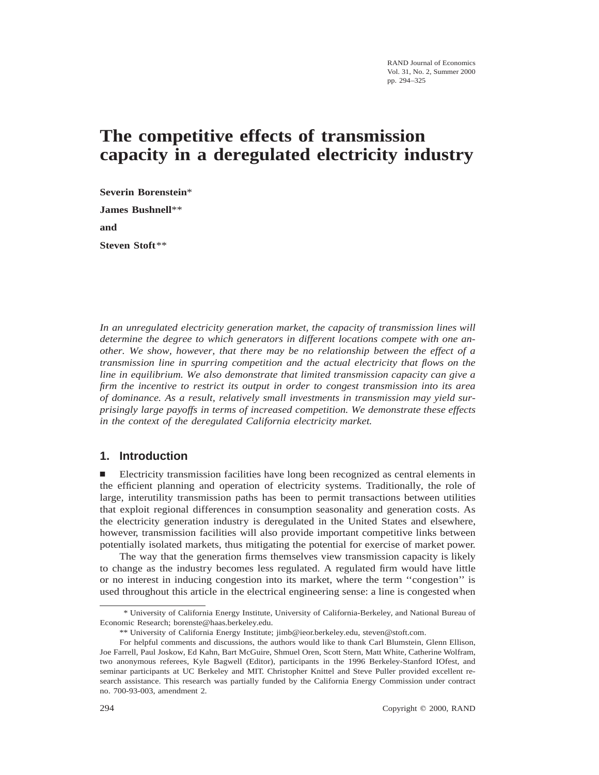RAND Journal of Economics Vol. 31, No. 2, Summer 2000 pp. 294–325

# **The competitive effects of transmission capacity in a deregulated electricity industry**

**Severin Borenstein**\* **James Bushnell**\*\* **and Steven Stoft**\*\*

*In an unregulated electricity generation market, the capacity of transmission lines will determine the degree to which generators in different locations compete with one another. We show, however, that there may be no relationship between the effect of a transmission line in spurring competition and the actual electricity that flows on the line in equilibrium. We also demonstrate that limited transmission capacity can give a firm the incentive to restrict its output in order to congest transmission into its area of dominance. As a result, relatively small investments in transmission may yield surprisingly large payoffs in terms of increased competition. We demonstrate these effects in the context of the deregulated California electricity market.*

# **1. Introduction**

n Electricity transmission facilities have long been recognized as central elements in the efficient planning and operation of electricity systems. Traditionally, the role of large, interutility transmission paths has been to permit transactions between utilities that exploit regional differences in consumption seasonality and generation costs. As the electricity generation industry is deregulated in the United States and elsewhere, however, transmission facilities will also provide important competitive links between potentially isolated markets, thus mitigating the potential for exercise of market power.

The way that the generation firms themselves view transmission capacity is likely to change as the industry becomes less regulated. A regulated firm would have little or no interest in inducing congestion into its market, where the term ''congestion'' is used throughout this article in the electrical engineering sense: a line is congested when

<sup>\*</sup> University of California Energy Institute, University of California-Berkeley, and National Bureau of Economic Research; borenste@haas.berkeley.edu.

<sup>\*\*</sup> University of California Energy Institute; jimb@ieor.berkeley.edu, steven@stoft.com.

For helpful comments and discussions, the authors would like to thank Carl Blumstein, Glenn Ellison, Joe Farrell, Paul Joskow, Ed Kahn, Bart McGuire, Shmuel Oren, Scott Stern, Matt White, Catherine Wolfram, two anonymous referees, Kyle Bagwell (Editor), participants in the 1996 Berkeley-Stanford IOfest, and seminar participants at UC Berkeley and MIT. Christopher Knittel and Steve Puller provided excellent research assistance. This research was partially funded by the California Energy Commission under contract no. 700-93-003, amendment 2.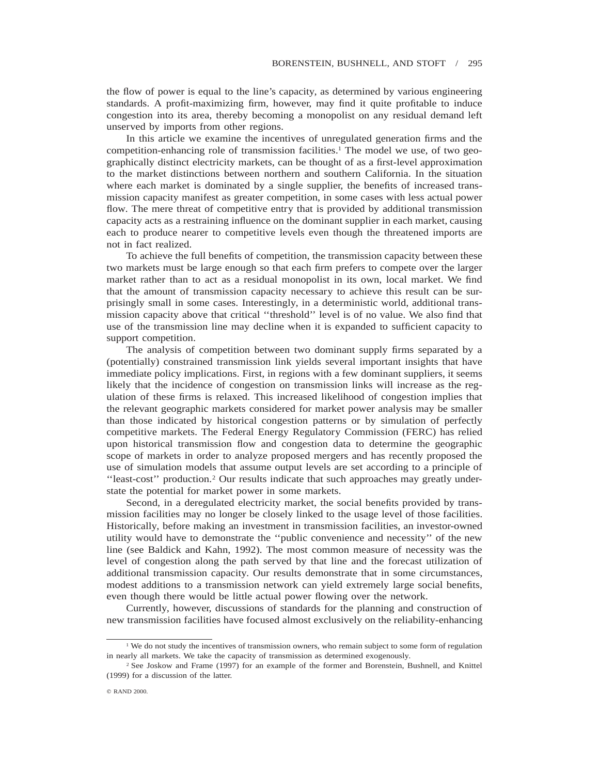the flow of power is equal to the line's capacity, as determined by various engineering standards. A profit-maximizing firm, however, may find it quite profitable to induce congestion into its area, thereby becoming a monopolist on any residual demand left unserved by imports from other regions.

In this article we examine the incentives of unregulated generation firms and the competition-enhancing role of transmission facilities.1 The model we use, of two geographically distinct electricity markets, can be thought of as a first-level approximation to the market distinctions between northern and southern California. In the situation where each market is dominated by a single supplier, the benefits of increased transmission capacity manifest as greater competition, in some cases with less actual power flow. The mere threat of competitive entry that is provided by additional transmission capacity acts as a restraining influence on the dominant supplier in each market, causing each to produce nearer to competitive levels even though the threatened imports are not in fact realized.

To achieve the full benefits of competition, the transmission capacity between these two markets must be large enough so that each firm prefers to compete over the larger market rather than to act as a residual monopolist in its own, local market. We find that the amount of transmission capacity necessary to achieve this result can be surprisingly small in some cases. Interestingly, in a deterministic world, additional transmission capacity above that critical ''threshold'' level is of no value. We also find that use of the transmission line may decline when it is expanded to sufficient capacity to support competition.

The analysis of competition between two dominant supply firms separated by a (potentially) constrained transmission link yields several important insights that have immediate policy implications. First, in regions with a few dominant suppliers, it seems likely that the incidence of congestion on transmission links will increase as the regulation of these firms is relaxed. This increased likelihood of congestion implies that the relevant geographic markets considered for market power analysis may be smaller than those indicated by historical congestion patterns or by simulation of perfectly competitive markets. The Federal Energy Regulatory Commission (FERC) has relied upon historical transmission flow and congestion data to determine the geographic scope of markets in order to analyze proposed mergers and has recently proposed the use of simulation models that assume output levels are set according to a principle of ''least-cost'' production.2 Our results indicate that such approaches may greatly understate the potential for market power in some markets.

Second, in a deregulated electricity market, the social benefits provided by transmission facilities may no longer be closely linked to the usage level of those facilities. Historically, before making an investment in transmission facilities, an investor-owned utility would have to demonstrate the ''public convenience and necessity'' of the new line (see Baldick and Kahn, 1992). The most common measure of necessity was the level of congestion along the path served by that line and the forecast utilization of additional transmission capacity. Our results demonstrate that in some circumstances, modest additions to a transmission network can yield extremely large social benefits, even though there would be little actual power flowing over the network.

Currently, however, discussions of standards for the planning and construction of new transmission facilities have focused almost exclusively on the reliability-enhancing

<sup>&</sup>lt;sup>1</sup> We do not study the incentives of transmission owners, who remain subject to some form of regulation in nearly all markets. We take the capacity of transmission as determined exogenously.

<sup>2</sup> See Joskow and Frame (1997) for an example of the former and Borenstein, Bushnell, and Knittel (1999) for a discussion of the latter.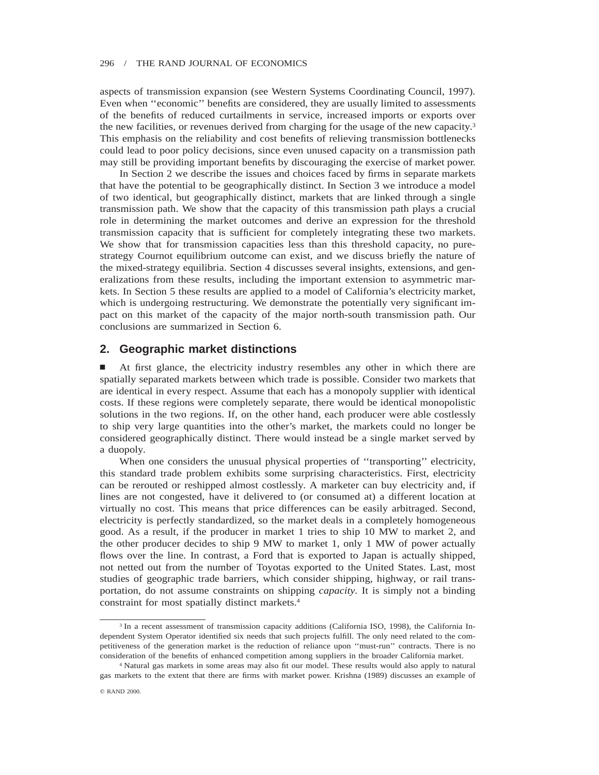aspects of transmission expansion (see Western Systems Coordinating Council, 1997). Even when ''economic'' benefits are considered, they are usually limited to assessments of the benefits of reduced curtailments in service, increased imports or exports over the new facilities, or revenues derived from charging for the usage of the new capacity.3 This emphasis on the reliability and cost benefits of relieving transmission bottlenecks could lead to poor policy decisions, since even unused capacity on a transmission path may still be providing important benefits by discouraging the exercise of market power.

In Section 2 we describe the issues and choices faced by firms in separate markets that have the potential to be geographically distinct. In Section 3 we introduce a model of two identical, but geographically distinct, markets that are linked through a single transmission path. We show that the capacity of this transmission path plays a crucial role in determining the market outcomes and derive an expression for the threshold transmission capacity that is sufficient for completely integrating these two markets. We show that for transmission capacities less than this threshold capacity, no purestrategy Cournot equilibrium outcome can exist, and we discuss briefly the nature of the mixed-strategy equilibria. Section 4 discusses several insights, extensions, and generalizations from these results, including the important extension to asymmetric markets. In Section 5 these results are applied to a model of California's electricity market, which is undergoing restructuring. We demonstrate the potentially very significant impact on this market of the capacity of the major north-south transmission path. Our conclusions are summarized in Section 6.

# **2. Geographic market distinctions**

n At first glance, the electricity industry resembles any other in which there are spatially separated markets between which trade is possible. Consider two markets that are identical in every respect. Assume that each has a monopoly supplier with identical costs. If these regions were completely separate, there would be identical monopolistic solutions in the two regions. If, on the other hand, each producer were able costlessly to ship very large quantities into the other's market, the markets could no longer be considered geographically distinct. There would instead be a single market served by a duopoly.

When one considers the unusual physical properties of "transporting" electricity, this standard trade problem exhibits some surprising characteristics. First, electricity can be rerouted or reshipped almost costlessly. A marketer can buy electricity and, if lines are not congested, have it delivered to (or consumed at) a different location at virtually no cost. This means that price differences can be easily arbitraged. Second, electricity is perfectly standardized, so the market deals in a completely homogeneous good. As a result, if the producer in market 1 tries to ship 10 MW to market 2, and the other producer decides to ship 9 MW to market 1, only 1 MW of power actually flows over the line. In contrast, a Ford that is exported to Japan is actually shipped, not netted out from the number of Toyotas exported to the United States. Last, most studies of geographic trade barriers, which consider shipping, highway, or rail transportation, do not assume constraints on shipping *capacity.* It is simply not a binding constraint for most spatially distinct markets.4

<sup>&</sup>lt;sup>3</sup> In a recent assessment of transmission capacity additions (California ISO, 1998), the California Independent System Operator identified six needs that such projects fulfill. The only need related to the competitiveness of the generation market is the reduction of reliance upon ''must-run'' contracts. There is no consideration of the benefits of enhanced competition among suppliers in the broader California market.

<sup>4</sup> Natural gas markets in some areas may also fit our model. These results would also apply to natural gas markets to the extent that there are firms with market power. Krishna (1989) discusses an example of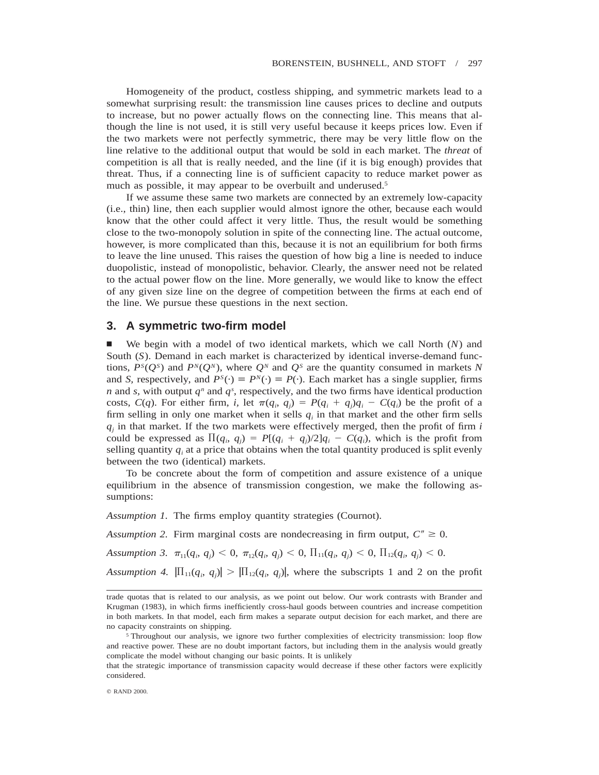Homogeneity of the product, costless shipping, and symmetric markets lead to a somewhat surprising result: the transmission line causes prices to decline and outputs to increase, but no power actually flows on the connecting line. This means that although the line is not used, it is still very useful because it keeps prices low. Even if the two markets were not perfectly symmetric, there may be very little flow on the line relative to the additional output that would be sold in each market. The *threat* of competition is all that is really needed, and the line (if it is big enough) provides that threat. Thus, if a connecting line is of sufficient capacity to reduce market power as much as possible, it may appear to be overbuilt and underused.<sup>5</sup>

If we assume these same two markets are connected by an extremely low-capacity (i.e., thin) line, then each supplier would almost ignore the other, because each would know that the other could affect it very little. Thus, the result would be something close to the two-monopoly solution in spite of the connecting line. The actual outcome, however, is more complicated than this, because it is not an equilibrium for both firms to leave the line unused. This raises the question of how big a line is needed to induce duopolistic, instead of monopolistic, behavior. Clearly, the answer need not be related to the actual power flow on the line. More generally, we would like to know the effect of any given size line on the degree of competition between the firms at each end of the line. We pursue these questions in the next section.

## **3. A symmetric two-firm model**

n We begin with a model of two identical markets, which we call North (*N*) and South (*S*). Demand in each market is characterized by identical inverse-demand functions,  $P^{S}(Q^{S})$  and  $P^{N}(Q^{N})$ , where  $Q^{N}$  and  $Q^{S}$  are the quantity consumed in markets *N* and *S*, respectively, and  $P^{S}(\cdot) \equiv P^{N}(\cdot) \equiv P(\cdot)$ . Each market has a single supplier, firms *n* and *s*, with output  $q^n$  and  $q^s$ , respectively, and the two firms have identical production costs,  $C(q)$ . For either firm, *i*, let  $\pi(q_i, q_j) = P(q_i + q_j)q_i - C(q_i)$  be the profit of a firm selling in only one market when it sells  $q_i$  in that market and the other firm sells  $q_i$  in that market. If the two markets were effectively merged, then the profit of firm  $i$ could be expressed as  $\Pi(q_i, q_j) = P[(q_i + q_j)/2]q_i - C(q_i)$ , which is the profit from selling quantity  $q_i$  at a price that obtains when the total quantity produced is split evenly between the two (identical) markets.

To be concrete about the form of competition and assure existence of a unique equilibrium in the absence of transmission congestion, we make the following assumptions:

*Assumption 1.* The firms employ quantity strategies (Cournot).

*Assumption 2.* Firm marginal costs are nondecreasing in firm output,  $C'' \geq 0$ .

*Assumption 3.*  $\pi_{11}(q_i, q_j) < 0$ ,  $\pi_{12}(q_i, q_j) < 0$ ,  $\prod_{11}(q_i, q_j) < 0$ ,  $\prod_{12}(q_i, q_j) < 0$ .

*Assumption 4.*  $|\Pi_{11}(q_i, q_j)| > |\Pi_{12}(q_i, q_j)|$ , where the subscripts 1 and 2 on the profit

that the strategic importance of transmission capacity would decrease if these other factors were explicitly considered.

trade quotas that is related to our analysis, as we point out below. Our work contrasts with Brander and Krugman (1983), in which firms inefficiently cross-haul goods between countries and increase competition in both markets. In that model, each firm makes a separate output decision for each market, and there are no capacity constraints on shipping.

<sup>&</sup>lt;sup>5</sup> Throughout our analysis, we ignore two further complexities of electricity transmission: loop flow and reactive power. These are no doubt important factors, but including them in the analysis would greatly complicate the model without changing our basic points. It is unlikely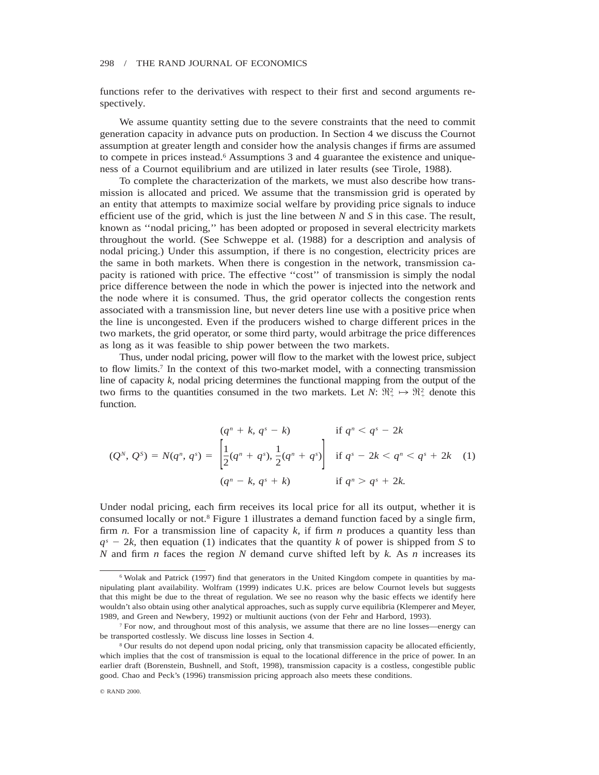functions refer to the derivatives with respect to their first and second arguments respectively.

We assume quantity setting due to the severe constraints that the need to commit generation capacity in advance puts on production. In Section 4 we discuss the Cournot assumption at greater length and consider how the analysis changes if firms are assumed to compete in prices instead.6 Assumptions 3 and 4 guarantee the existence and uniqueness of a Cournot equilibrium and are utilized in later results (see Tirole, 1988).

To complete the characterization of the markets, we must also describe how transmission is allocated and priced. We assume that the transmission grid is operated by an entity that attempts to maximize social welfare by providing price signals to induce efficient use of the grid, which is just the line between *N* and *S* in this case. The result, known as ''nodal pricing,'' has been adopted or proposed in several electricity markets throughout the world. (See Schweppe et al. (1988) for a description and analysis of nodal pricing.) Under this assumption, if there is no congestion, electricity prices are the same in both markets. When there is congestion in the network, transmission capacity is rationed with price. The effective ''cost'' of transmission is simply the nodal price difference between the node in which the power is injected into the network and the node where it is consumed. Thus, the grid operator collects the congestion rents associated with a transmission line, but never deters line use with a positive price when the line is uncongested. Even if the producers wished to charge different prices in the two markets, the grid operator, or some third party, would arbitrage the price differences as long as it was feasible to ship power between the two markets.

Thus, under nodal pricing, power will flow to the market with the lowest price, subject to flow limits.7 In the context of this two-market model, with a connecting transmission line of capacity *k,* nodal pricing determines the functional mapping from the output of the two firms to the quantities consumed in the two markets. Let  $N: \mathbb{R}^2_+ \mapsto \mathbb{R}^2_+$  denote this function.

$$
(Q^N, Q^s) = N(q^n, q^s) = \begin{cases} (q^n + k, q^s - k) & \text{if } q^n < q^s - 2k \\ \left[ \frac{1}{2} (q^n + q^s), \frac{1}{2} (q^n + q^s) \right] & \text{if } q^s - 2k < q^n < q^s + 2k \\ \left[ (q^n - k, q^s + k) \right] & \text{if } q^n > q^s + 2k. \end{cases} \tag{1}
$$

Under nodal pricing, each firm receives its local price for all its output, whether it is consumed locally or not.8 Figure 1 illustrates a demand function faced by a single firm, firm *n.* For a transmission line of capacity *k,* if firm *n* produces a quantity less than  $q<sup>s</sup> - 2k$ , then equation (1) indicates that the quantity *k* of power is shipped from *S* to *N* and firm *n* faces the region *N* demand curve shifted left by *k.* As *n* increases its

<sup>6</sup> Wolak and Patrick (1997) find that generators in the United Kingdom compete in quantities by manipulating plant availability. Wolfram (1999) indicates U.K. prices are below Cournot levels but suggests that this might be due to the threat of regulation. We see no reason why the basic effects we identify here wouldn't also obtain using other analytical approaches, such as supply curve equilibria (Klemperer and Meyer, 1989, and Green and Newbery, 1992) or multiunit auctions (von der Fehr and Harbord, 1993).

<sup>7</sup> For now, and throughout most of this analysis, we assume that there are no line losses—energy can be transported costlessly. We discuss line losses in Section 4.

<sup>8</sup> Our results do not depend upon nodal pricing, only that transmission capacity be allocated efficiently, which implies that the cost of transmission is equal to the locational difference in the price of power. In an earlier draft (Borenstein, Bushnell, and Stoft, 1998), transmission capacity is a costless, congestible public good. Chao and Peck's (1996) transmission pricing approach also meets these conditions.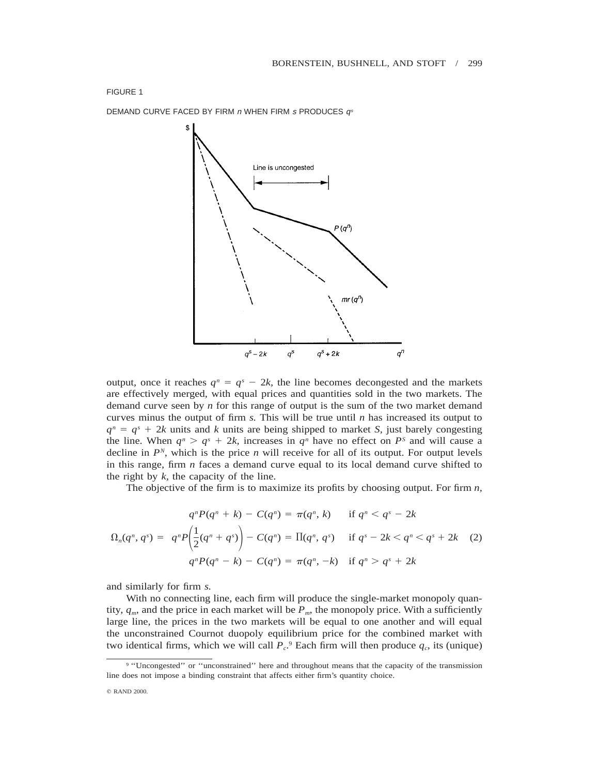

output, once it reaches  $q^n = q^s - 2k$ , the line becomes decongested and the markets are effectively merged, with equal prices and quantities sold in the two markets. The demand curve seen by *n* for this range of output is the sum of the two market demand curves minus the output of firm *s.* This will be true until *n* has increased its output to  $q^n = q^s + 2k$  units and *k* units are being shipped to market *S*, just barely congesting the line. When  $q^n > q^s + 2k$ , increases in  $q^n$  have no effect on  $P^s$  and will cause a decline in  $P<sup>N</sup>$ , which is the price *n* will receive for all of its output. For output levels in this range, firm *n* faces a demand curve equal to its local demand curve shifted to the right by *k,* the capacity of the line.

The objective of the firm is to maximize its profits by choosing output. For firm *n,*

$$
\Omega_n(q^n, q^s) = \begin{cases}\n q^n P(q^n + k) - C(q^n) = \pi(q^n, k) & \text{if } q^n < q^s - 2k \\
q^n P\left(\frac{1}{2}(q^n + q^s)\right) - C(q^n) = \Pi(q^n, q^s) & \text{if } q^s - 2k < q^n < q^s + 2k \\
q^n P(q^n - k) - C(q^n) = \pi(q^n, -k) & \text{if } q^n > q^s + 2k\n\end{cases}\n\tag{2}
$$

and similarly for firm *s.*

With no connecting line, each firm will produce the single-market monopoly quantity,  $q_m$ , and the price in each market will be  $P_m$ , the monopoly price. With a sufficiently large line, the prices in the two markets will be equal to one another and will equal the unconstrained Cournot duopoly equilibrium price for the combined market with two identical firms, which we will call  $P_c$ <sup>9</sup> Each firm will then produce  $q_c$ , its (unique)

<sup>&</sup>lt;sup>9</sup> "Uncongested" or "unconstrained" here and throughout means that the capacity of the transmission line does not impose a binding constraint that affects either firm's quantity choice.

<sup>©</sup> RAND 2000.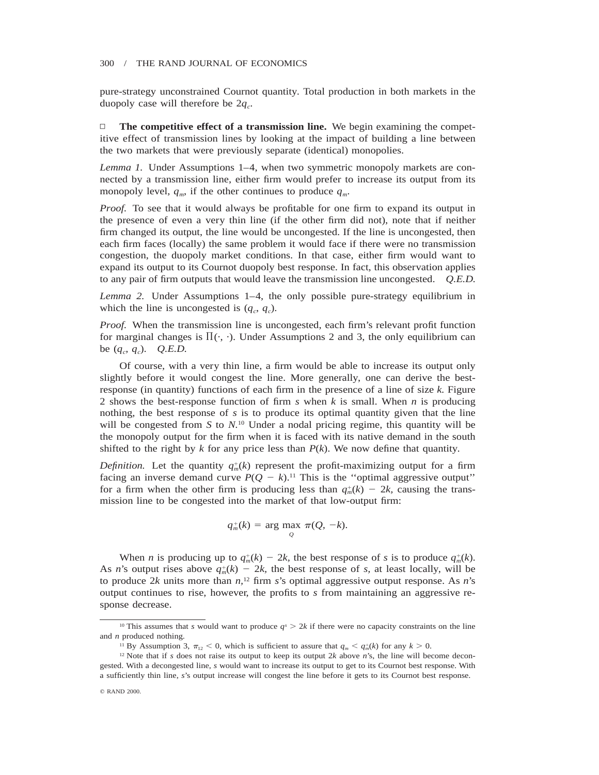pure-strategy unconstrained Cournot quantity. Total production in both markets in the duopoly case will therefore be  $2q_c$ .

 $\Box$  **The competitive effect of a transmission line.** We begin examining the competitive effect of transmission lines by looking at the impact of building a line between the two markets that were previously separate (identical) monopolies.

*Lemma 1.* Under Assumptions 1–4, when two symmetric monopoly markets are connected by a transmission line, either firm would prefer to increase its output from its monopoly level,  $q_m$ , if the other continues to produce  $q_m$ .

*Proof.* To see that it would always be profitable for one firm to expand its output in the presence of even a very thin line (if the other firm did not), note that if neither firm changed its output, the line would be uncongested. If the line is uncongested, then each firm faces (locally) the same problem it would face if there were no transmission congestion, the duopoly market conditions. In that case, either firm would want to expand its output to its Cournot duopoly best response. In fact, this observation applies to any pair of firm outputs that would leave the transmission line uncongested. *Q.E.D.*

*Lemma 2.* Under Assumptions 1–4, the only possible pure-strategy equilibrium in which the line is uncongested is  $(q_c, q_c)$ .

*Proof.* When the transmission line is uncongested, each firm's relevant profit function for marginal changes is  $\Pi(\cdot, \cdot)$ . Under Assumptions 2 and 3, the only equilibrium can be  $(q_c, q_c)$ . *Q.E.D.* 

Of course, with a very thin line, a firm would be able to increase its output only slightly before it would congest the line. More generally, one can derive the bestresponse (in quantity) functions of each firm in the presence of a line of size *k.* Figure 2 shows the best-response function of firm *s* when *k* is small. When *n* is producing nothing, the best response of *s* is to produce its optimal quantity given that the line will be congested from *S* to *N.*<sup>10</sup> Under a nodal pricing regime, this quantity will be the monopoly output for the firm when it is faced with its native demand in the south shifted to the right by  $k$  for any price less than  $P(k)$ . We now define that quantity.

*Definition.* Let the quantity  $q_m^+(k)$  represent the profit-maximizing output for a firm facing an inverse demand curve  $P(Q - k)$ .<sup>11</sup> This is the "optimal aggressive output" for a firm when the other firm is producing less than  $q_m^+(k) - 2k$ , causing the transmission line to be congested into the market of that low-output firm:

$$
q_m^+(k) = \arg\max_{Q} \pi(Q, -k).
$$

When *n* is producing up to  $q_m^+(k) - 2k$ , the best response of *s* is to produce  $q_m^+(k)$ . As *n*'s output rises above  $q_m^+(k) - 2k$ , the best response of *s*, at least locally, will be to produce 2*k* units more than  $n<sub>1</sub>$ <sup>12</sup> firm *s*'s optimal aggressive output response. As *n*'s output continues to rise, however, the profits to *s* from maintaining an aggressive response decrease.

<sup>&</sup>lt;sup>10</sup> This assumes that *s* would want to produce  $q^s > 2k$  if there were no capacity constraints on the line and *n* produced nothing.

<sup>&</sup>lt;sup>11</sup> By Assumption 3,  $\pi_{12} < 0$ , which is sufficient to assure that  $q_m < q_m^+(k)$  for any  $k > 0$ .

<sup>&</sup>lt;sup>12</sup> Note that if *s* does not raise its output to keep its output 2*k* above *n*'s, the line will become decongested. With a decongested line, *s* would want to increase its output to get to its Cournot best response. With a sufficiently thin line, *s*'s output increase will congest the line before it gets to its Cournot best response.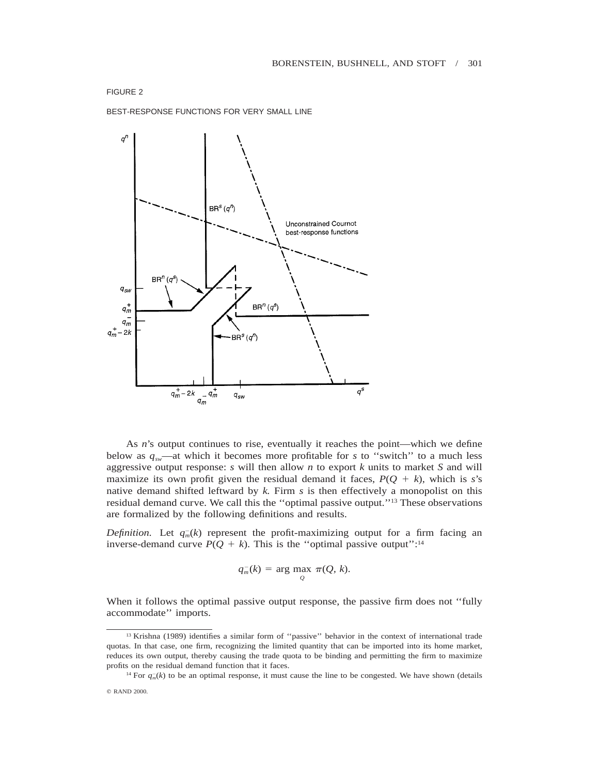BEST-RESPONSE FUNCTIONS FOR VERY SMALL LINE



As *n*'s output continues to rise, eventually it reaches the point—which we define below as  $q_{sw}$ —at which it becomes more profitable for *s* to "switch" to a much less aggressive output response: *s* will then allow *n* to export *k* units to market *S* and will maximize its own profit given the residual demand it faces,  $P(Q + k)$ , which is *s*'s native demand shifted leftward by *k.* Firm *s* is then effectively a monopolist on this residual demand curve. We call this the ''optimal passive output.''13 These observations are formalized by the following definitions and results.

*Definition.* Let  $q_m(k)$  represent the profit-maximizing output for a firm facing an inverse-demand curve  $P(Q + k)$ . This is the "optimal passive output":<sup>14</sup>

$$
q_m^-(k) = \arg\max_Q \pi(Q, k).
$$

When it follows the optimal passive output response, the passive firm does not ''fully accommodate'' imports.

```
q RAND 2000.
```
<sup>&</sup>lt;sup>13</sup> Krishna (1989) identifies a similar form of "passive" behavior in the context of international trade quotas. In that case, one firm, recognizing the limited quantity that can be imported into its home market, reduces its own output, thereby causing the trade quota to be binding and permitting the firm to maximize profits on the residual demand function that it faces.

<sup>&</sup>lt;sup>14</sup> For  $q_m(k)$  to be an optimal response, it must cause the line to be congested. We have shown (details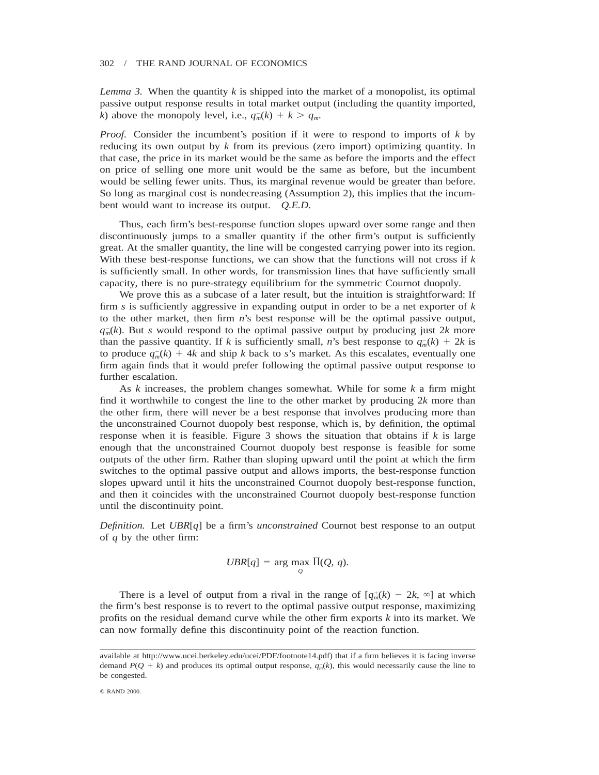*Lemma 3.* When the quantity  $k$  is shipped into the market of a monopolist, its optimal passive output response results in total market output (including the quantity imported, *k*) above the monopoly level, i.e.,  $q_m(k) + k > q_m$ .

*Proof.* Consider the incumbent's position if it were to respond to imports of *k* by reducing its own output by *k* from its previous (zero import) optimizing quantity. In that case, the price in its market would be the same as before the imports and the effect on price of selling one more unit would be the same as before, but the incumbent would be selling fewer units. Thus, its marginal revenue would be greater than before. So long as marginal cost is nondecreasing (Assumption 2), this implies that the incumbent would want to increase its output. *Q.E.D.*

Thus, each firm's best-response function slopes upward over some range and then discontinuously jumps to a smaller quantity if the other firm's output is sufficiently great. At the smaller quantity, the line will be congested carrying power into its region. With these best-response functions, we can show that the functions will not cross if *k* is sufficiently small. In other words, for transmission lines that have sufficiently small capacity, there is no pure-strategy equilibrium for the symmetric Cournot duopoly.

We prove this as a subcase of a later result, but the intuition is straightforward: If firm *s* is sufficiently aggressive in expanding output in order to be a net exporter of *k* to the other market, then firm *n*'s best response will be the optimal passive output,  $q_m(k)$ . But *s* would respond to the optimal passive output by producing just 2k more than the passive quantity. If *k* is sufficiently small, *n*'s best response to  $q_m(k) + 2k$  is to produce  $q_m(k) + 4k$  and ship *k* back to *s*'s market. As this escalates, eventually one firm again finds that it would prefer following the optimal passive output response to further escalation.

As *k* increases, the problem changes somewhat. While for some *k* a firm might find it worthwhile to congest the line to the other market by producing 2*k* more than the other firm, there will never be a best response that involves producing more than the unconstrained Cournot duopoly best response, which is, by definition, the optimal response when it is feasible. Figure 3 shows the situation that obtains if *k* is large enough that the unconstrained Cournot duopoly best response is feasible for some outputs of the other firm. Rather than sloping upward until the point at which the firm switches to the optimal passive output and allows imports, the best-response function slopes upward until it hits the unconstrained Cournot duopoly best-response function, and then it coincides with the unconstrained Cournot duopoly best-response function until the discontinuity point.

*Definition.* Let *UBR*[*q*] be a firm's *unconstrained* Cournot best response to an output of *q* by the other firm:

$$
UBR[q] = \arg\max_{Q} \Pi(Q, q).
$$

There is a level of output from a rival in the range of  $[q<sub>m</sub><sup>+</sup>(k) - 2k, \infty]$  at which the firm's best response is to revert to the optimal passive output response, maximizing profits on the residual demand curve while the other firm exports *k* into its market. We can now formally define this discontinuity point of the reaction function.

available at http://www.ucei.berkeley.edu/ucei/PDF/footnote14.pdf) that if a firm believes it is facing inverse demand  $P(Q + k)$  and produces its optimal output response,  $q_m(k)$ , this would necessarily cause the line to be congested.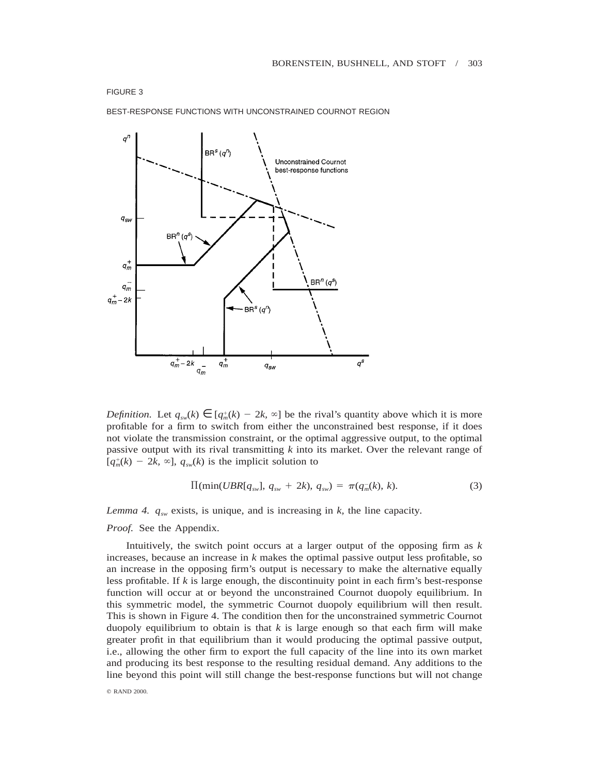



*Definition.* Let  $q_{sw}(k) \in [q_m^+(k) - 2k, \infty]$  be the rival's quantity above which it is more profitable for a firm to switch from either the unconstrained best response, if it does not violate the transmission constraint, or the optimal aggressive output, to the optimal passive output with its rival transmitting *k* into its market. Over the relevant range of  $[q<sub>m</sub><sup>+</sup>(k) - 2k, \infty]$ ,  $q<sub>sw</sub>(k)$  is the implicit solution to

$$
\Pi(\min(UBR[q_{sw}], q_{sw} + 2k), q_{sw}) = \pi(q_m^{-}(k), k). \tag{3}
$$

*Lemma 4.*  $q_{sw}$  exists, is unique, and is increasing in  $k$ , the line capacity.

*Proof.* See the Appendix.

Intuitively, the switch point occurs at a larger output of the opposing firm as *k* increases, because an increase in *k* makes the optimal passive output less profitable, so an increase in the opposing firm's output is necessary to make the alternative equally less profitable. If *k* is large enough, the discontinuity point in each firm's best-response function will occur at or beyond the unconstrained Cournot duopoly equilibrium. In this symmetric model, the symmetric Cournot duopoly equilibrium will then result. This is shown in Figure 4. The condition then for the unconstrained symmetric Cournot duopoly equilibrium to obtain is that  $k$  is large enough so that each firm will make greater profit in that equilibrium than it would producing the optimal passive output, i.e., allowing the other firm to export the full capacity of the line into its own market and producing its best response to the resulting residual demand. Any additions to the line beyond this point will still change the best-response functions but will not change

© RAND 2000.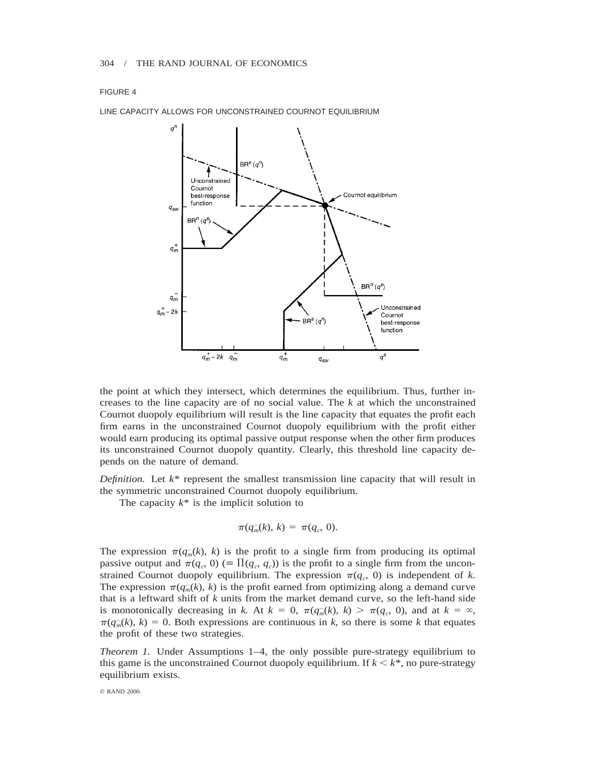

LINE CAPACITY ALLOWS FOR UNCONSTRAINED COURNOT EQUILIBRIUM

the point at which they intersect, which determines the equilibrium. Thus, further increases to the line capacity are of no social value. The *k* at which the unconstrained Cournot duopoly equilibrium will result is the line capacity that equates the profit each firm earns in the unconstrained Cournot duopoly equilibrium with the profit either would earn producing its optimal passive output response when the other firm produces its unconstrained Cournot duopoly quantity. Clearly, this threshold line capacity depends on the nature of demand.

*Definition.* Let *k*\* represent the smallest transmission line capacity that will result in the symmetric unconstrained Cournot duopoly equilibrium.

The capacity  $k^*$  is the implicit solution to

$$
\pi(q_m^{-}(k), k) = \pi(q_c, 0).
$$

The expression  $\pi(q_m(k), k)$  is the profit to a single firm from producing its optimal passive output and  $\pi(q_c, 0) \equiv \Pi(q_c, q_c)$  is the profit to a single firm from the unconstrained Cournot duopoly equilibrium. The expression  $\pi(q_c, 0)$  is independent of *k*. The expression  $\pi(q_m(k), k)$  is the profit earned from optimizing along a demand curve that is a leftward shift of *k* units from the market demand curve, so the left-hand side is monotonically decreasing in *k*. At  $k = 0$ ,  $\pi(q_m(k), k) > \pi(q_c, 0)$ , and at  $k = \infty$ ,  $\pi(q_m(k), k) = 0$ . Both expressions are continuous in *k*, so there is some *k* that equates the profit of these two strategies.

*Theorem 1.* Under Assumptions 1–4, the only possible pure-strategy equilibrium to this game is the unconstrained Cournot duopoly equilibrium. If  $k \leq k^*$ , no pure-strategy equilibrium exists.

© RAND 2000.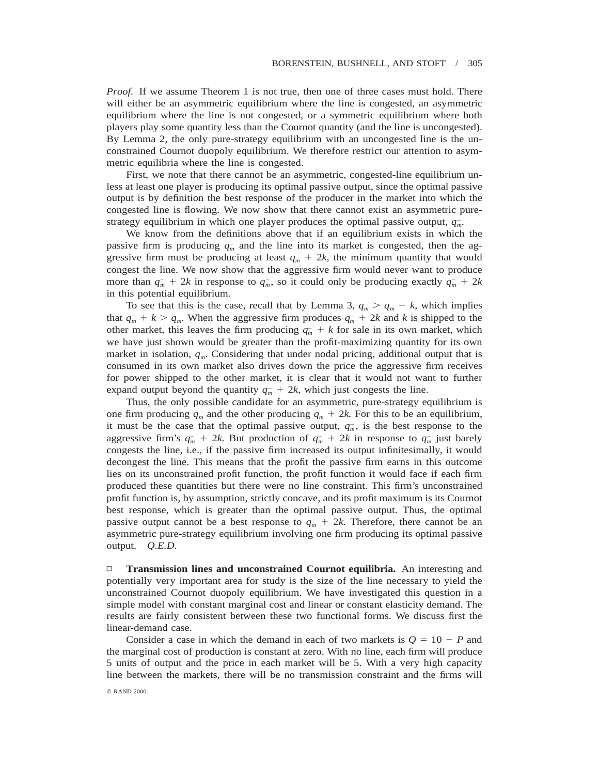*Proof.* If we assume Theorem 1 is not true, then one of three cases must hold. There will either be an asymmetric equilibrium where the line is congested, an asymmetric equilibrium where the line is not congested, or a symmetric equilibrium where both players play some quantity less than the Cournot quantity (and the line is uncongested). By Lemma 2, the only pure-strategy equilibrium with an uncongested line is the unconstrained Cournot duopoly equilibrium. We therefore restrict our attention to asymmetric equilibria where the line is congested.

First, we note that there cannot be an asymmetric, congested-line equilibrium unless at least one player is producing its optimal passive output, since the optimal passive output is by definition the best response of the producer in the market into which the congested line is flowing. We now show that there cannot exist an asymmetric purestrategy equilibrium in which one player produces the optimal passive output,  $q_m$ .

We know from the definitions above that if an equilibrium exists in which the passive firm is producing  $q_m^-$  and the line into its market is congested, then the aggressive firm must be producing at least  $q_m^- + 2k$ , the minimum quantity that would congest the line. We now show that the aggressive firm would never want to produce more than  $q_m^- + 2k$  in response to  $q_m^-$ , so it could only be producing exactly  $q_m^- + 2k$ in this potential equilibrium.

To see that this is the case, recall that by Lemma 3,  $q_m > q_m - k$ , which implies that  $q_m^+ + k > q_m$ . When the aggressive firm produces  $q_m^+ + 2k$  and k is shipped to the other market, this leaves the firm producing  $q_m + k$  for sale in its own market, which we have just shown would be greater than the profit-maximizing quantity for its own market in isolation,  $q_m$ . Considering that under nodal pricing, additional output that is consumed in its own market also drives down the price the aggressive firm receives for power shipped to the other market, it is clear that it would not want to further expand output beyond the quantity  $q_m^- + 2k$ , which just congests the line.

Thus, the only possible candidate for an asymmetric, pure-strategy equilibrium is one firm producing  $q_m^-$  and the other producing  $q_m^- + 2k$ . For this to be an equilibrium, it must be the case that the optimal passive output,  $q<sub>m</sub>$ , is the best response to the aggressive firm's  $q_m^- + 2k$ . But production of  $q_m^- + 2k$  in response to  $q_m^-$  just barely congests the line, i.e., if the passive firm increased its output infinitesimally, it would decongest the line. This means that the profit the passive firm earns in this outcome lies on its unconstrained profit function, the profit function it would face if each firm produced these quantities but there were no line constraint. This firm's unconstrained profit function is, by assumption, strictly concave, and its profit maximum is its Cournot best response, which is greater than the optimal passive output. Thus, the optimal passive output cannot be a best response to  $q_m^- + 2k$ . Therefore, there cannot be an asymmetric pure-strategy equilibrium involving one firm producing its optimal passive output. *Q.E.D.*

□ **Transmission lines and unconstrained Cournot equilibria.** An interesting and potentially very important area for study is the size of the line necessary to yield the unconstrained Cournot duopoly equilibrium. We have investigated this question in a simple model with constant marginal cost and linear or constant elasticity demand. The results are fairly consistent between these two functional forms. We discuss first the linear-demand case.

Consider a case in which the demand in each of two markets is  $Q = 10 - P$  and the marginal cost of production is constant at zero. With no line, each firm will produce 5 units of output and the price in each market will be 5. With a very high capacity line between the markets, there will be no transmission constraint and the firms will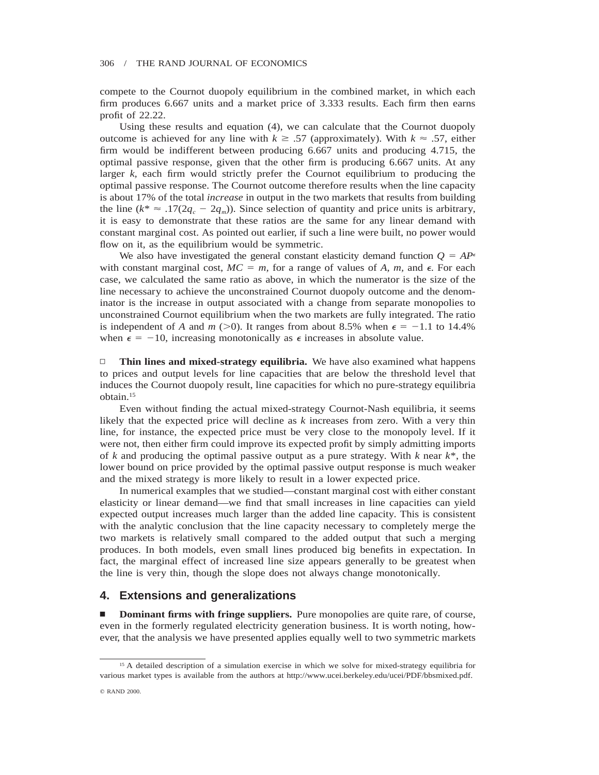compete to the Cournot duopoly equilibrium in the combined market, in which each firm produces 6.667 units and a market price of 3.333 results. Each firm then earns profit of 22.22.

Using these results and equation (4), we can calculate that the Cournot duopoly outcome is achieved for any line with  $k \geq .57$  (approximately). With  $k \approx .57$ , either firm would be indifferent between producing 6.667 units and producing 4.715, the optimal passive response, given that the other firm is producing 6.667 units. At any larger  $k$ , each firm would strictly prefer the Cournot equilibrium to producing the optimal passive response. The Cournot outcome therefore results when the line capacity is about 17% of the total *increase* in output in the two markets that results from building the line ( $k^* \approx .17(2q_c - 2q_m)$ ). Since selection of quantity and price units is arbitrary, it is easy to demonstrate that these ratios are the same for any linear demand with constant marginal cost. As pointed out earlier, if such a line were built, no power would flow on it, as the equilibrium would be symmetric.

We also have investigated the general constant elasticity demand function  $Q = AP^{\epsilon}$ with constant marginal cost,  $MC = m$ , for a range of values of A, m, and  $\epsilon$ . For each case, we calculated the same ratio as above, in which the numerator is the size of the line necessary to achieve the unconstrained Cournot duopoly outcome and the denominator is the increase in output associated with a change from separate monopolies to unconstrained Cournot equilibrium when the two markets are fully integrated. The ratio is independent of *A* and *m* ( $>0$ ). It ranges from about 8.5% when  $\epsilon = -1.1$  to 14.4% when  $\epsilon = -10$ , increasing monotonically as  $\epsilon$  increases in absolute value.

▫ **Thin lines and mixed-strategy equilibria.** We have also examined what happens to prices and output levels for line capacities that are below the threshold level that induces the Cournot duopoly result, line capacities for which no pure-strategy equilibria obtain.15

Even without finding the actual mixed-strategy Cournot-Nash equilibria, it seems likely that the expected price will decline as *k* increases from zero. With a very thin line, for instance, the expected price must be very close to the monopoly level. If it were not, then either firm could improve its expected profit by simply admitting imports of *k* and producing the optimal passive output as a pure strategy. With *k* near *k*\*, the lower bound on price provided by the optimal passive output response is much weaker and the mixed strategy is more likely to result in a lower expected price.

In numerical examples that we studied—constant marginal cost with either constant elasticity or linear demand—we find that small increases in line capacities can yield expected output increases much larger than the added line capacity. This is consistent with the analytic conclusion that the line capacity necessary to completely merge the two markets is relatively small compared to the added output that such a merging produces. In both models, even small lines produced big benefits in expectation. In fact, the marginal effect of increased line size appears generally to be greatest when the line is very thin, though the slope does not always change monotonically.

# **4. Extensions and generalizations**

**n Dominant firms with fringe suppliers.** Pure monopolies are quite rare, of course, even in the formerly regulated electricity generation business. It is worth noting, however, that the analysis we have presented applies equally well to two symmetric markets

<sup>&</sup>lt;sup>15</sup> A detailed description of a simulation exercise in which we solve for mixed-strategy equilibria for various market types is available from the authors at http://www.ucei.berkeley.edu/ucei/PDF/bbsmixed.pdf.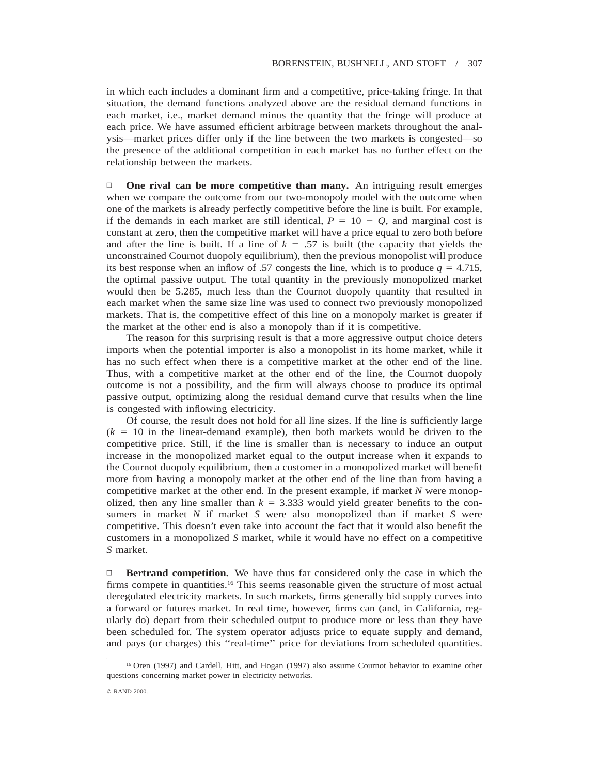in which each includes a dominant firm and a competitive, price-taking fringe. In that situation, the demand functions analyzed above are the residual demand functions in each market, i.e., market demand minus the quantity that the fringe will produce at each price. We have assumed efficient arbitrage between markets throughout the analysis—market prices differ only if the line between the two markets is congested—so the presence of the additional competition in each market has no further effect on the relationship between the markets.

□ **One rival can be more competitive than many.** An intriguing result emerges when we compare the outcome from our two-monopoly model with the outcome when one of the markets is already perfectly competitive before the line is built. For example, if the demands in each market are still identical,  $P = 10 - Q$ , and marginal cost is constant at zero, then the competitive market will have a price equal to zero both before and after the line is built. If a line of  $k = 0.57$  is built (the capacity that yields the unconstrained Cournot duopoly equilibrium), then the previous monopolist will produce its best response when an inflow of .57 congests the line, which is to produce  $q = 4.715$ , the optimal passive output. The total quantity in the previously monopolized market would then be 5.285, much less than the Cournot duopoly quantity that resulted in each market when the same size line was used to connect two previously monopolized markets. That is, the competitive effect of this line on a monopoly market is greater if the market at the other end is also a monopoly than if it is competitive.

The reason for this surprising result is that a more aggressive output choice deters imports when the potential importer is also a monopolist in its home market, while it has no such effect when there is a competitive market at the other end of the line. Thus, with a competitive market at the other end of the line, the Cournot duopoly outcome is not a possibility, and the firm will always choose to produce its optimal passive output, optimizing along the residual demand curve that results when the line is congested with inflowing electricity.

Of course, the result does not hold for all line sizes. If the line is sufficiently large  $(k = 10$  in the linear-demand example), then both markets would be driven to the competitive price. Still, if the line is smaller than is necessary to induce an output increase in the monopolized market equal to the output increase when it expands to the Cournot duopoly equilibrium, then a customer in a monopolized market will benefit more from having a monopoly market at the other end of the line than from having a competitive market at the other end. In the present example, if market *N* were monopolized, then any line smaller than  $k = 3.333$  would yield greater benefits to the consumers in market *N* if market *S* were also monopolized than if market *S* were competitive. This doesn't even take into account the fact that it would also benefit the customers in a monopolized *S* market, while it would have no effect on a competitive *S* market.

□ **Bertrand competition.** We have thus far considered only the case in which the firms compete in quantities.<sup>16</sup> This seems reasonable given the structure of most actual deregulated electricity markets. In such markets, firms generally bid supply curves into a forward or futures market. In real time, however, firms can (and, in California, regularly do) depart from their scheduled output to produce more or less than they have been scheduled for. The system operator adjusts price to equate supply and demand, and pays (or charges) this ''real-time'' price for deviations from scheduled quantities.

<sup>16</sup> Oren (1997) and Cardell, Hitt, and Hogan (1997) also assume Cournot behavior to examine other questions concerning market power in electricity networks.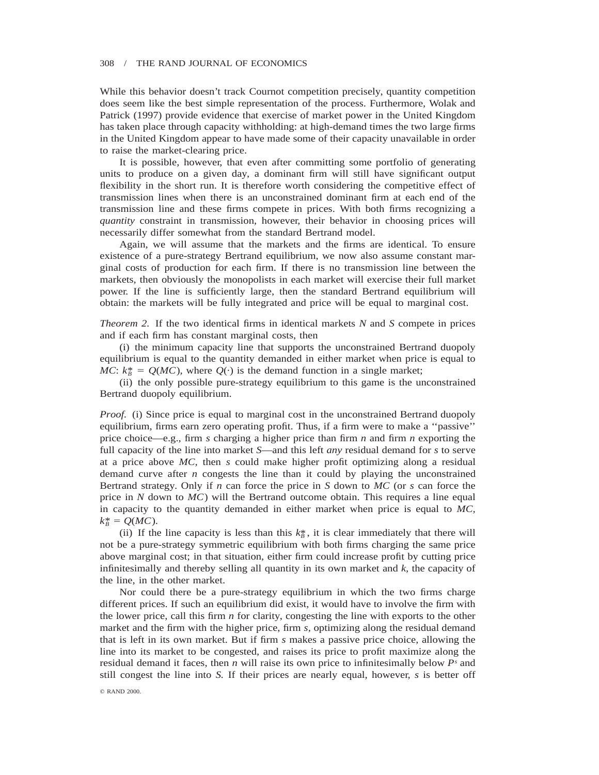While this behavior doesn't track Cournot competition precisely, quantity competition does seem like the best simple representation of the process. Furthermore, Wolak and Patrick (1997) provide evidence that exercise of market power in the United Kingdom has taken place through capacity withholding: at high-demand times the two large firms in the United Kingdom appear to have made some of their capacity unavailable in order to raise the market-clearing price.

It is possible, however, that even after committing some portfolio of generating units to produce on a given day, a dominant firm will still have significant output flexibility in the short run. It is therefore worth considering the competitive effect of transmission lines when there is an unconstrained dominant firm at each end of the transmission line and these firms compete in prices. With both firms recognizing a *quantity* constraint in transmission, however, their behavior in choosing prices will necessarily differ somewhat from the standard Bertrand model.

Again, we will assume that the markets and the firms are identical. To ensure existence of a pure-strategy Bertrand equilibrium, we now also assume constant marginal costs of production for each firm. If there is no transmission line between the markets, then obviously the monopolists in each market will exercise their full market power. If the line is sufficiently large, then the standard Bertrand equilibrium will obtain: the markets will be fully integrated and price will be equal to marginal cost.

*Theorem 2.* If the two identical firms in identical markets *N* and *S* compete in prices and if each firm has constant marginal costs, then

(i) the minimum capacity line that supports the unconstrained Bertrand duopoly equilibrium is equal to the quantity demanded in either market when price is equal to *MC*:  $k_B^* = Q(MC)$ , where  $Q(\cdot)$  is the demand function in a single market;

(ii) the only possible pure-strategy equilibrium to this game is the unconstrained Bertrand duopoly equilibrium.

*Proof.* (i) Since price is equal to marginal cost in the unconstrained Bertrand duopoly equilibrium, firms earn zero operating profit. Thus, if a firm were to make a ''passive'' price choice—e.g., firm *s* charging a higher price than firm *n* and firm *n* exporting the full capacity of the line into market *S*—and this left *any* residual demand for *s* to serve at a price above *MC,* then *s* could make higher profit optimizing along a residual demand curve after *n* congests the line than it could by playing the unconstrained Bertrand strategy. Only if *n* can force the price in *S* down to *MC* (or *s* can force the price in *N* down to *MC*) will the Bertrand outcome obtain. This requires a line equal in capacity to the quantity demanded in either market when price is equal to *MC,*  $k_R^* = Q(MC)$ .

(ii) If the line capacity is less than this  $k_{\beta}^*$ , it is clear immediately that there will not be a pure-strategy symmetric equilibrium with both firms charging the same price above marginal cost; in that situation, either firm could increase profit by cutting price infinitesimally and thereby selling all quantity in its own market and *k,* the capacity of the line, in the other market.

Nor could there be a pure-strategy equilibrium in which the two firms charge different prices. If such an equilibrium did exist, it would have to involve the firm with the lower price, call this firm *n* for clarity, congesting the line with exports to the other market and the firm with the higher price, firm *s,* optimizing along the residual demand that is left in its own market. But if firm *s* makes a passive price choice, allowing the line into its market to be congested, and raises its price to profit maximize along the residual demand it faces, then *n* will raise its own price to infinitesimally below *Ps* and still congest the line into *S.* If their prices are nearly equal, however, *s* is better off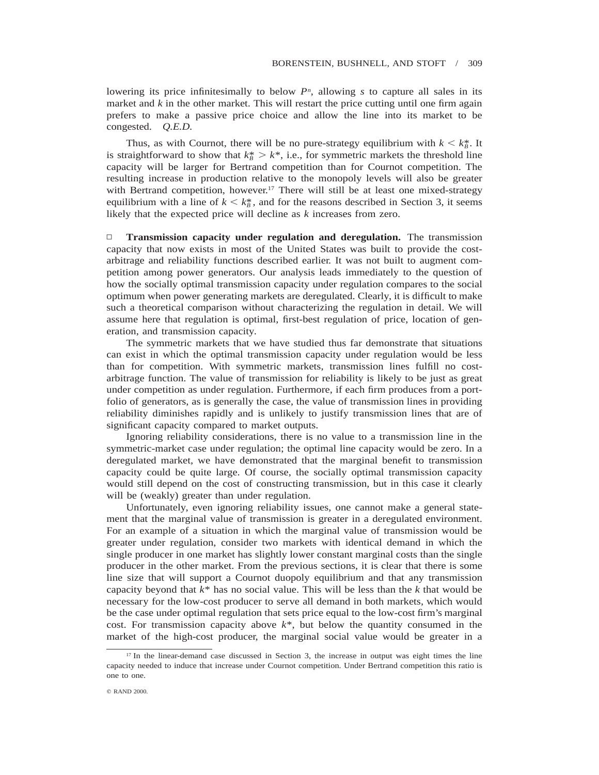lowering its price infinitesimally to below  $P<sup>n</sup>$ , allowing *s* to capture all sales in its market and *k* in the other market. This will restart the price cutting until one firm again prefers to make a passive price choice and allow the line into its market to be congested. *Q.E.D.*

Thus, as with Cournot, there will be no pure-strategy equilibrium with  $k < k_{B}^{*}$ . It is straightforward to show that  $k_B^* > k^*$ , i.e., for symmetric markets the threshold line capacity will be larger for Bertrand competition than for Cournot competition. The resulting increase in production relative to the monopoly levels will also be greater with Bertrand competition, however.<sup>17</sup> There will still be at least one mixed-strategy equilibrium with a line of  $k \leq k_B^*$ , and for the reasons described in Section 3, it seems likely that the expected price will decline as *k* increases from zero.

▫ **Transmission capacity under regulation and deregulation.** The transmission capacity that now exists in most of the United States was built to provide the costarbitrage and reliability functions described earlier. It was not built to augment competition among power generators. Our analysis leads immediately to the question of how the socially optimal transmission capacity under regulation compares to the social optimum when power generating markets are deregulated. Clearly, it is difficult to make such a theoretical comparison without characterizing the regulation in detail. We will assume here that regulation is optimal, first-best regulation of price, location of generation, and transmission capacity.

The symmetric markets that we have studied thus far demonstrate that situations can exist in which the optimal transmission capacity under regulation would be less than for competition. With symmetric markets, transmission lines fulfill no costarbitrage function. The value of transmission for reliability is likely to be just as great under competition as under regulation. Furthermore, if each firm produces from a portfolio of generators, as is generally the case, the value of transmission lines in providing reliability diminishes rapidly and is unlikely to justify transmission lines that are of significant capacity compared to market outputs.

Ignoring reliability considerations, there is no value to a transmission line in the symmetric-market case under regulation; the optimal line capacity would be zero. In a deregulated market, we have demonstrated that the marginal benefit to transmission capacity could be quite large. Of course, the socially optimal transmission capacity would still depend on the cost of constructing transmission, but in this case it clearly will be (weakly) greater than under regulation.

Unfortunately, even ignoring reliability issues, one cannot make a general statement that the marginal value of transmission is greater in a deregulated environment. For an example of a situation in which the marginal value of transmission would be greater under regulation, consider two markets with identical demand in which the single producer in one market has slightly lower constant marginal costs than the single producer in the other market. From the previous sections, it is clear that there is some line size that will support a Cournot duopoly equilibrium and that any transmission capacity beyond that *k*\* has no social value. This will be less than the *k* that would be necessary for the low-cost producer to serve all demand in both markets, which would be the case under optimal regulation that sets price equal to the low-cost firm's marginal cost. For transmission capacity above *k*\*, but below the quantity consumed in the market of the high-cost producer, the marginal social value would be greater in a

<sup>&</sup>lt;sup>17</sup> In the linear-demand case discussed in Section 3, the increase in output was eight times the line capacity needed to induce that increase under Cournot competition. Under Bertrand competition this ratio is one to one.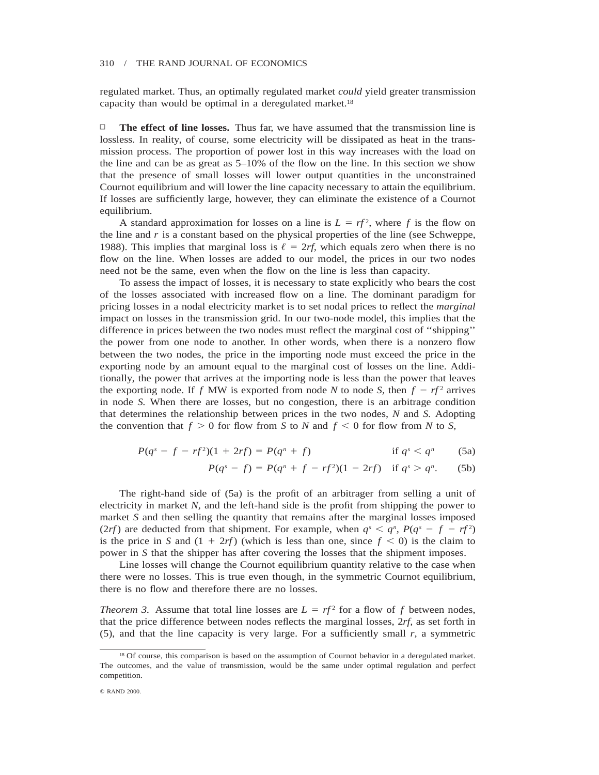regulated market. Thus, an optimally regulated market *could* yield greater transmission capacity than would be optimal in a deregulated market.<sup>18</sup>

 $\Box$  **The effect of line losses.** Thus far, we have assumed that the transmission line is lossless. In reality, of course, some electricity will be dissipated as heat in the transmission process. The proportion of power lost in this way increases with the load on the line and can be as great as 5–10% of the flow on the line. In this section we show that the presence of small losses will lower output quantities in the unconstrained Cournot equilibrium and will lower the line capacity necessary to attain the equilibrium. If losses are sufficiently large, however, they can eliminate the existence of a Cournot equilibrium.

A standard approximation for losses on a line is  $L = rf^2$ , where f is the flow on the line and *r* is a constant based on the physical properties of the line (see Schweppe, 1988). This implies that marginal loss is  $\ell = 2r$ , which equals zero when there is no flow on the line. When losses are added to our model, the prices in our two nodes need not be the same, even when the flow on the line is less than capacity.

To assess the impact of losses, it is necessary to state explicitly who bears the cost of the losses associated with increased flow on a line. The dominant paradigm for pricing losses in a nodal electricity market is to set nodal prices to reflect the *marginal* impact on losses in the transmission grid. In our two-node model, this implies that the difference in prices between the two nodes must reflect the marginal cost of ''shipping'' the power from one node to another. In other words, when there is a nonzero flow between the two nodes, the price in the importing node must exceed the price in the exporting node by an amount equal to the marginal cost of losses on the line. Additionally, the power that arrives at the importing node is less than the power that leaves the exporting node. If *f* MW is exported from node *N* to node *S*, then  $f - rf^2$  arrives in node *S.* When there are losses, but no congestion, there is an arbitrage condition that determines the relationship between prices in the two nodes, *N* and *S.* Adopting the convention that  $f > 0$  for flow from *S* to *N* and  $f < 0$  for flow from *N* to *S*,

$$
P(q^{s} - f - rf^{2})(1 + 2rf) = P(q^{n} + f)
$$
 if  $q^{s} < q^{n}$  (5a)

$$
P(q^{s}-f) = P(q^{n}+f-rf^{2})(1-2rf) \text{ if } q^{s} > q^{n}. \qquad (5b)
$$

The right-hand side of (5a) is the profit of an arbitrager from selling a unit of electricity in market *N,* and the left-hand side is the profit from shipping the power to market *S* and then selling the quantity that remains after the marginal losses imposed (2*rf*) are deducted from that shipment. For example, when  $q^s < q^n$ ,  $P(q^s - f - rf^2)$ is the price in *S* and  $(1 + 2rf)$  (which is less than one, since  $f < 0$ ) is the claim to power in *S* that the shipper has after covering the losses that the shipment imposes.

Line losses will change the Cournot equilibrium quantity relative to the case when there were no losses. This is true even though, in the symmetric Cournot equilibrium, there is no flow and therefore there are no losses.

*Theorem 3.* Assume that total line losses are  $L = rf^2$  for a flow of f between nodes, that the price difference between nodes reflects the marginal losses, 2*rf,* as set forth in (5), and that the line capacity is very large. For a sufficiently small  $r$ , a symmetric

<sup>&</sup>lt;sup>18</sup> Of course, this comparison is based on the assumption of Cournot behavior in a deregulated market. The outcomes, and the value of transmission, would be the same under optimal regulation and perfect competition.

<sup>©</sup> RAND 2000.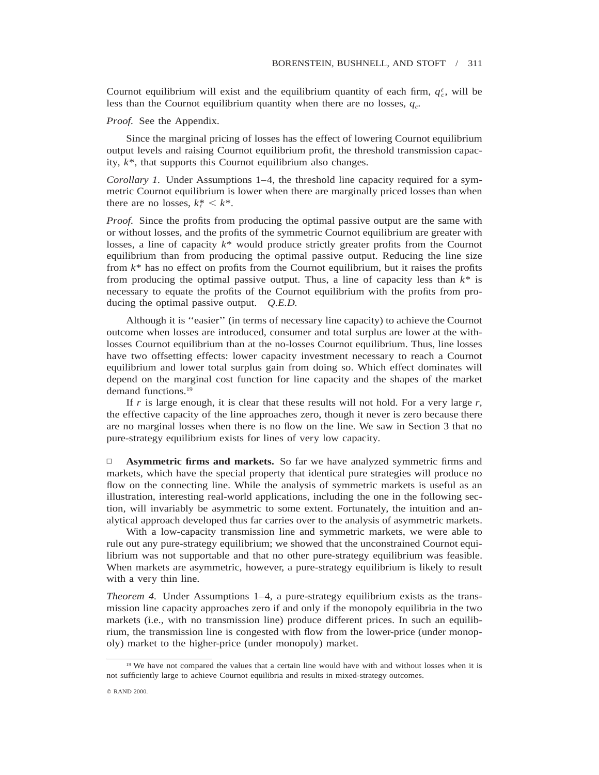Cournot equilibrium will exist and the equilibrium quantity of each firm,  $q_c^{\ell}$ , will be less than the Cournot equilibrium quantity when there are no losses,  $q_c$ .

*Proof.* See the Appendix.

Since the marginal pricing of losses has the effect of lowering Cournot equilibrium output levels and raising Cournot equilibrium profit, the threshold transmission capacity, *k*\*, that supports this Cournot equilibrium also changes.

*Corollary 1.* Under Assumptions 1–4, the threshold line capacity required for a symmetric Cournot equilibrium is lower when there are marginally priced losses than when there are no losses,  $k^* \leq k^*$ .

*Proof.* Since the profits from producing the optimal passive output are the same with or without losses, and the profits of the symmetric Cournot equilibrium are greater with losses, a line of capacity *k*\* would produce strictly greater profits from the Cournot equilibrium than from producing the optimal passive output. Reducing the line size from *k*\* has no effect on profits from the Cournot equilibrium, but it raises the profits from producing the optimal passive output. Thus, a line of capacity less than *k*\* is necessary to equate the profits of the Cournot equilibrium with the profits from producing the optimal passive output. *Q.E.D.*

Although it is ''easier'' (in terms of necessary line capacity) to achieve the Cournot outcome when losses are introduced, consumer and total surplus are lower at the withlosses Cournot equilibrium than at the no-losses Cournot equilibrium. Thus, line losses have two offsetting effects: lower capacity investment necessary to reach a Cournot equilibrium and lower total surplus gain from doing so. Which effect dominates will depend on the marginal cost function for line capacity and the shapes of the market demand functions.19

If *r* is large enough, it is clear that these results will not hold. For a very large *r,* the effective capacity of the line approaches zero, though it never is zero because there are no marginal losses when there is no flow on the line. We saw in Section 3 that no pure-strategy equilibrium exists for lines of very low capacity.

▫ **Asymmetric firms and markets.** So far we have analyzed symmetric firms and markets, which have the special property that identical pure strategies will produce no flow on the connecting line. While the analysis of symmetric markets is useful as an illustration, interesting real-world applications, including the one in the following section, will invariably be asymmetric to some extent. Fortunately, the intuition and analytical approach developed thus far carries over to the analysis of asymmetric markets.

With a low-capacity transmission line and symmetric markets, we were able to rule out any pure-strategy equilibrium; we showed that the unconstrained Cournot equilibrium was not supportable and that no other pure-strategy equilibrium was feasible. When markets are asymmetric, however, a pure-strategy equilibrium is likely to result with a very thin line.

*Theorem 4.* Under Assumptions 1–4, a pure-strategy equilibrium exists as the transmission line capacity approaches zero if and only if the monopoly equilibria in the two markets (i.e., with no transmission line) produce different prices. In such an equilibrium, the transmission line is congested with flow from the lower-price (under monopoly) market to the higher-price (under monopoly) market.

<sup>&</sup>lt;sup>19</sup> We have not compared the values that a certain line would have with and without losses when it is not sufficiently large to achieve Cournot equilibria and results in mixed-strategy outcomes.

q RAND 2000.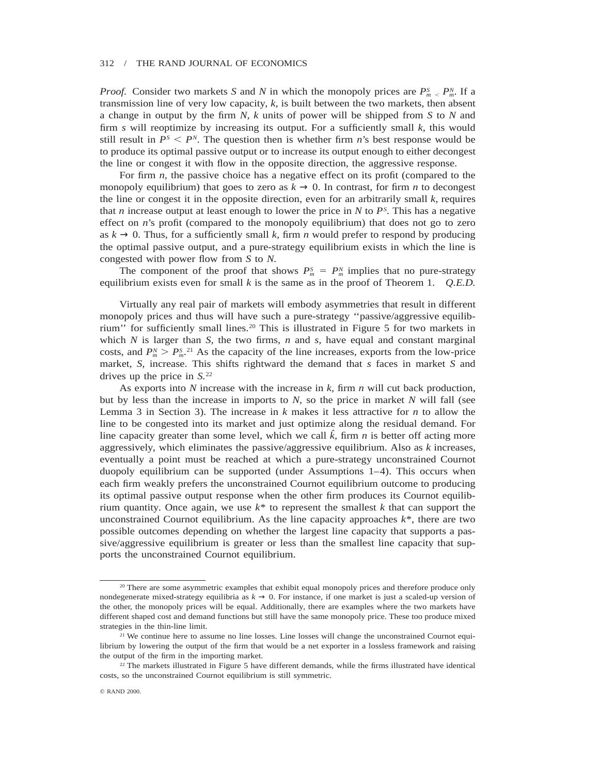*Proof.* Consider two markets *S* and *N* in which the monopoly prices are  $P_m^S \nleq P_m^N$ . If a transmission line of very low capacity, *k,* is built between the two markets, then absent a change in output by the firm *N, k* units of power will be shipped from *S* to *N* and firm *s* will reoptimize by increasing its output. For a sufficiently small *k,* this would still result in  $P^S \n\leq P^N$ . The question then is whether firm *n*'s best response would be to produce its optimal passive output or to increase its output enough to either decongest the line or congest it with flow in the opposite direction, the aggressive response.

For firm *n,* the passive choice has a negative effect on its profit (compared to the monopoly equilibrium) that goes to zero as  $k \to 0$ . In contrast, for firm *n* to decongest the line or congest it in the opposite direction, even for an arbitrarily small *k,* requires that *n* increase output at least enough to lower the price in  $N$  to  $P<sup>S</sup>$ . This has a negative effect on *n*'s profit (compared to the monopoly equilibrium) that does not go to zero as  $k \to 0$ . Thus, for a sufficiently small k, firm *n* would prefer to respond by producing the optimal passive output, and a pure-strategy equilibrium exists in which the line is congested with power flow from *S* to *N.*

The component of the proof that shows  $P_m^S = P_m^N$  implies that no pure-strategy equilibrium exists even for small *k* is the same as in the proof of Theorem 1. *Q.E.D.*

Virtually any real pair of markets will embody asymmetries that result in different monopoly prices and thus will have such a pure-strategy ''passive/aggressive equilibrium'' for sufficiently small lines.20 This is illustrated in Figure 5 for two markets in which  $N$  is larger than  $S$ , the two firms,  $n$  and  $s$ , have equal and constant marginal costs, and  $P_m^N > P_m^S$ <sup>21</sup>. As the capacity of the line increases, exports from the low-price market, *S,* increase. This shifts rightward the demand that *s* faces in market *S* and drives up the price in *S.*<sup>22</sup>

As exports into *N* increase with the increase in *k,* firm *n* will cut back production, but by less than the increase in imports to *N,* so the price in market *N* will fall (see Lemma 3 in Section 3). The increase in *k* makes it less attractive for *n* to allow the line to be congested into its market and just optimize along the residual demand. For line capacity greater than some level, which we call  $\hat{k}$ , firm *n* is better off acting more aggressively, which eliminates the passive/aggressive equilibrium. Also as *k* increases, eventually a point must be reached at which a pure-strategy unconstrained Cournot duopoly equilibrium can be supported (under Assumptions 1–4). This occurs when each firm weakly prefers the unconstrained Cournot equilibrium outcome to producing its optimal passive output response when the other firm produces its Cournot equilibrium quantity. Once again, we use  $k^*$  to represent the smallest  $k$  that can support the unconstrained Cournot equilibrium. As the line capacity approaches  $k^*$ , there are two possible outcomes depending on whether the largest line capacity that supports a passive/aggressive equilibrium is greater or less than the smallest line capacity that supports the unconstrained Cournot equilibrium.

<sup>&</sup>lt;sup>20</sup> There are some asymmetric examples that exhibit equal monopoly prices and therefore produce only nondegenerate mixed-strategy equilibria as  $k \rightarrow 0$ . For instance, if one market is just a scaled-up version of the other, the monopoly prices will be equal. Additionally, there are examples where the two markets have different shaped cost and demand functions but still have the same monopoly price. These too produce mixed strategies in the thin-line limit.

<sup>&</sup>lt;sup>21</sup> We continue here to assume no line losses. Line losses will change the unconstrained Cournot equilibrium by lowering the output of the firm that would be a net exporter in a lossless framework and raising the output of the firm in the importing market.

<sup>22</sup> The markets illustrated in Figure 5 have different demands, while the firms illustrated have identical costs, so the unconstrained Cournot equilibrium is still symmetric.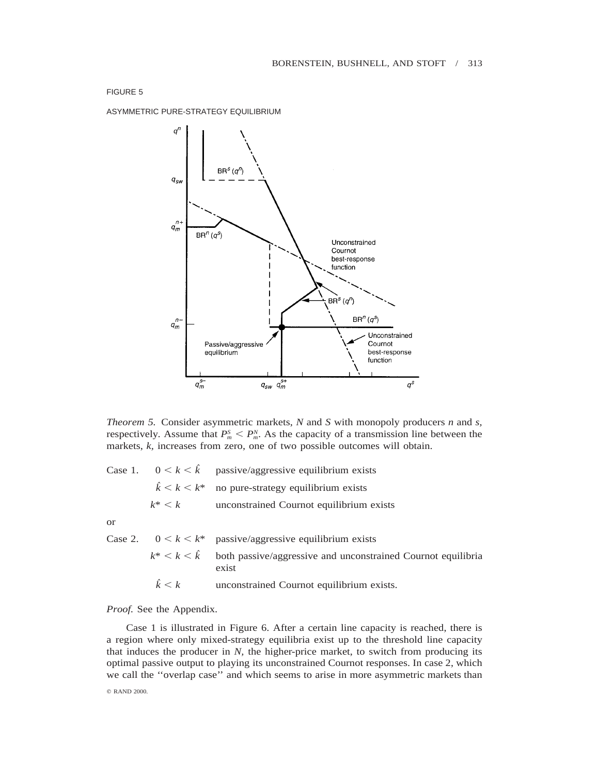ASYMMETRIC PURE-STRATEGY EQUILIBRIUM



*Theorem 5.* Consider asymmetric markets, *N* and *S* with monopoly producers *n* and *s,* respectively. Assume that  $P_m^S < P_m^N$ . As the capacity of a transmission line between the markets, *k,* increases from zero, one of two possible outcomes will obtain.

Case 1.  $0 \le k \le \hat{k}$  passive/aggressive equilibrium exists  $\hat{k}$  <  $k$  <  $k$ \* no pure-strategy equilibrium exists  $k^*$   $\lt k$  unconstrained Cournot equilibrium exists

or

Case 2.  $0 \le k \le k^*$  passive/aggressive equilibrium exists  $k^*$  <  $k$  <  $\hat{k}$  both passive/aggressive and unconstrained Cournot equilibria exist  $\hat{k}$  < *k* unconstrained Cournot equilibrium exists.

## *Proof.* See the Appendix.

Case 1 is illustrated in Figure 6. After a certain line capacity is reached, there is a region where only mixed-strategy equilibria exist up to the threshold line capacity that induces the producer in  $N$ , the higher-price market, to switch from producing its optimal passive output to playing its unconstrained Cournot responses. In case 2, which we call the ''overlap case'' and which seems to arise in more asymmetric markets than

© RAND 2000.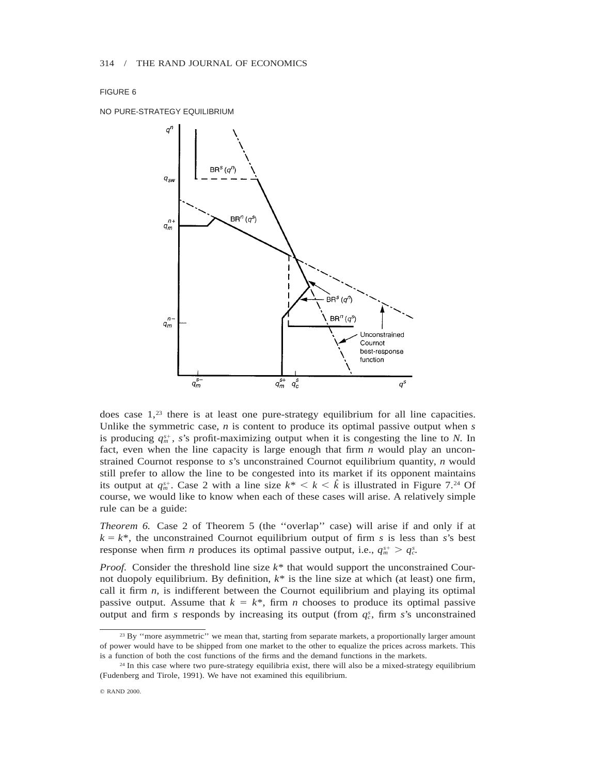NO PURE-STRATEGY EQUILIBRIUM



does case  $1<sup>23</sup>$  there is at least one pure-strategy equilibrium for all line capacities. Unlike the symmetric case, *n* is content to produce its optimal passive output when *s* is producing  $q_m^{s+}$ , *s*'s profit-maximizing output when it is congesting the line to *N*. In fact, even when the line capacity is large enough that firm *n* would play an unconstrained Cournot response to *s*'s unconstrained Cournot equilibrium quantity, *n* would still prefer to allow the line to be congested into its market if its opponent maintains its output at  $q_m^{s+}$ . Case 2 with a line size  $k^* < k < \hat{k}$  is illustrated in Figure 7.<sup>24</sup> Of course, we would like to know when each of these cases will arise. A relatively simple rule can be a guide:

*Theorem 6.* Case 2 of Theorem 5 (the ''overlap'' case) will arise if and only if at  $k = k^*$ , the unconstrained Cournot equilibrium output of firm *s* is less than *s*'s best response when firm *n* produces its optimal passive output, i.e.,  $q_m^{s+} > q_c^s$ .

*Proof.* Consider the threshold line size *k*\* that would support the unconstrained Cournot duopoly equilibrium. By definition, *k*\* is the line size at which (at least) one firm, call it firm  $n$ , is indifferent between the Cournot equilibrium and playing its optimal passive output. Assume that  $k = k^*$ , firm *n* chooses to produce its optimal passive output and firm *s* responds by increasing its output (from  $q_c^s$ , firm *s*'s unconstrained

<sup>&</sup>lt;sup>23</sup> By "more asymmetric" we mean that, starting from separate markets, a proportionally larger amount of power would have to be shipped from one market to the other to equalize the prices across markets. This is a function of both the cost functions of the firms and the demand functions in the markets.

<sup>&</sup>lt;sup>24</sup> In this case where two pure-strategy equilibria exist, there will also be a mixed-strategy equilibrium (Fudenberg and Tirole, 1991). We have not examined this equilibrium.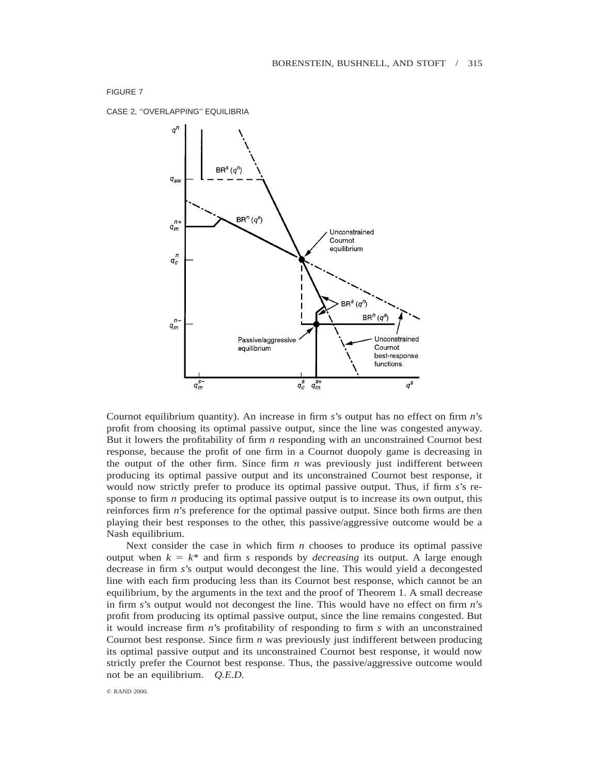CASE 2, ''OVERLAPPING'' EQUILIBRIA



Cournot equilibrium quantity). An increase in firm *s*'s output has no effect on firm *n*'s profit from choosing its optimal passive output, since the line was congested anyway. But it lowers the profitability of firm *n* responding with an unconstrained Cournot best response, because the profit of one firm in a Cournot duopoly game is decreasing in the output of the other firm. Since firm *n* was previously just indifferent between producing its optimal passive output and its unconstrained Cournot best response, it would now strictly prefer to produce its optimal passive output. Thus, if firm *s*'s response to firm *n* producing its optimal passive output is to increase its own output, this reinforces firm *n*'s preference for the optimal passive output. Since both firms are then playing their best responses to the other, this passive/aggressive outcome would be a Nash equilibrium.

Next consider the case in which firm *n* chooses to produce its optimal passive output when  $k = k^*$  and firm *s* responds by *decreasing* its output. A large enough decrease in firm *s*'s output would decongest the line. This would yield a decongested line with each firm producing less than its Cournot best response, which cannot be an equilibrium, by the arguments in the text and the proof of Theorem 1. A small decrease in firm *s*'s output would not decongest the line. This would have no effect on firm *n*'s profit from producing its optimal passive output, since the line remains congested. But it would increase firm *n*'s profitability of responding to firm *s* with an unconstrained Cournot best response. Since firm *n* was previously just indifferent between producing its optimal passive output and its unconstrained Cournot best response, it would now strictly prefer the Cournot best response. Thus, the passive/aggressive outcome would not be an equilibrium. *Q.E.D.*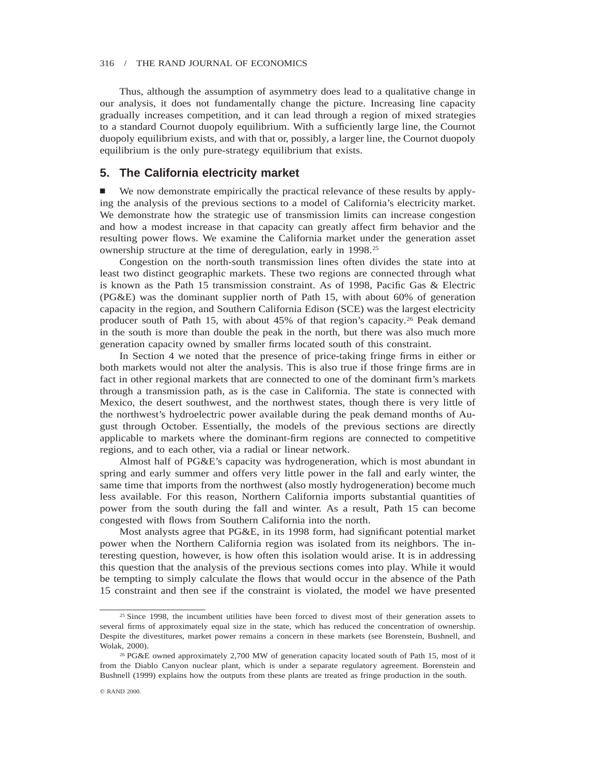Thus, although the assumption of asymmetry does lead to a qualitative change in our analysis, it does not fundamentally change the picture. Increasing line capacity gradually increases competition, and it can lead through a region of mixed strategies to a standard Cournot duopoly equilibrium. With a sufficiently large line, the Cournot duopoly equilibrium exists, and with that or, possibly, a larger line, the Cournot duopoly equilibrium is the only pure-strategy equilibrium that exists.

# **5. The California electricity market**

We now demonstrate empirically the practical relevance of these results by applying the analysis of the previous sections to a model of California's electricity market. We demonstrate how the strategic use of transmission limits can increase congestion and how a modest increase in that capacity can greatly affect firm behavior and the resulting power flows. We examine the California market under the generation asset ownership structure at the time of deregulation, early in 1998.25

Congestion on the north-south transmission lines often divides the state into at least two distinct geographic markets. These two regions are connected through what is known as the Path 15 transmission constraint. As of 1998, Pacific Gas & Electric (PG&E) was the dominant supplier north of Path 15, with about 60% of generation capacity in the region, and Southern California Edison (SCE) was the largest electricity producer south of Path 15, with about 45% of that region's capacity.26 Peak demand in the south is more than double the peak in the north, but there was also much more generation capacity owned by smaller firms located south of this constraint.

In Section 4 we noted that the presence of price-taking fringe firms in either or both markets would not alter the analysis. This is also true if those fringe firms are in fact in other regional markets that are connected to one of the dominant firm's markets through a transmission path, as is the case in California. The state is connected with Mexico, the desert southwest, and the northwest states, though there is very little of the northwest's hydroelectric power available during the peak demand months of August through October. Essentially, the models of the previous sections are directly applicable to markets where the dominant-firm regions are connected to competitive regions, and to each other, via a radial or linear network.

Almost half of PG&E's capacity was hydrogeneration, which is most abundant in spring and early summer and offers very little power in the fall and early winter, the same time that imports from the northwest (also mostly hydrogeneration) become much less available. For this reason, Northern California imports substantial quantities of power from the south during the fall and winter. As a result, Path 15 can become congested with flows from Southern California into the north.

Most analysts agree that PG&E, in its 1998 form, had significant potential market power when the Northern California region was isolated from its neighbors. The interesting question, however, is how often this isolation would arise. It is in addressing this question that the analysis of the previous sections comes into play. While it would be tempting to simply calculate the flows that would occur in the absence of the Path 15 constraint and then see if the constraint is violated, the model we have presented

<sup>&</sup>lt;sup>25</sup> Since 1998, the incumbent utilities have been forced to divest most of their generation assets to several firms of approximately equal size in the state, which has reduced the concentration of ownership. Despite the divestitures, market power remains a concern in these markets (see Borenstein, Bushnell, and Wolak, 2000).

<sup>26</sup> PG&E owned approximately 2,700 MW of generation capacity located south of Path 15, most of it from the Diablo Canyon nuclear plant, which is under a separate regulatory agreement. Borenstein and Bushnell (1999) explains how the outputs from these plants are treated as fringe production in the south.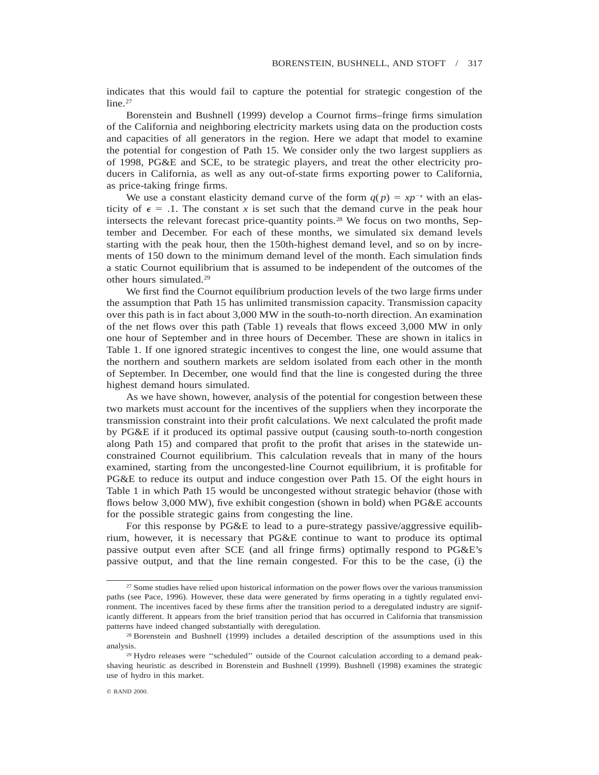indicates that this would fail to capture the potential for strategic congestion of the  $line.27$ 

Borenstein and Bushnell (1999) develop a Cournot firms–fringe firms simulation of the California and neighboring electricity markets using data on the production costs and capacities of all generators in the region. Here we adapt that model to examine the potential for congestion of Path 15. We consider only the two largest suppliers as of 1998, PG&E and SCE, to be strategic players, and treat the other electricity producers in California, as well as any out-of-state firms exporting power to California, as price-taking fringe firms.

We use a constant elasticity demand curve of the form  $q(p) = xp^{-\epsilon}$  with an elasticity of  $\epsilon = 0.1$ . The constant *x* is set such that the demand curve in the peak hour intersects the relevant forecast price-quantity points.28 We focus on two months, September and December. For each of these months, we simulated six demand levels starting with the peak hour, then the 150th-highest demand level, and so on by increments of 150 down to the minimum demand level of the month. Each simulation finds a static Cournot equilibrium that is assumed to be independent of the outcomes of the other hours simulated.29

We first find the Cournot equilibrium production levels of the two large firms under the assumption that Path 15 has unlimited transmission capacity. Transmission capacity over this path is in fact about 3,000 MW in the south-to-north direction. An examination of the net flows over this path (Table 1) reveals that flows exceed 3,000 MW in only one hour of September and in three hours of December. These are shown in italics in Table 1. If one ignored strategic incentives to congest the line, one would assume that the northern and southern markets are seldom isolated from each other in the month of September. In December, one would find that the line is congested during the three highest demand hours simulated.

As we have shown, however, analysis of the potential for congestion between these two markets must account for the incentives of the suppliers when they incorporate the transmission constraint into their profit calculations. We next calculated the profit made by PG&E if it produced its optimal passive output (causing south-to-north congestion along Path 15) and compared that profit to the profit that arises in the statewide unconstrained Cournot equilibrium. This calculation reveals that in many of the hours examined, starting from the uncongested-line Cournot equilibrium, it is profitable for PG&E to reduce its output and induce congestion over Path 15. Of the eight hours in Table 1 in which Path 15 would be uncongested without strategic behavior (those with flows below 3,000 MW), five exhibit congestion (shown in bold) when PG&E accounts for the possible strategic gains from congesting the line.

For this response by PG&E to lead to a pure-strategy passive/aggressive equilibrium, however, it is necessary that PG&E continue to want to produce its optimal passive output even after SCE (and all fringe firms) optimally respond to PG&E's passive output, and that the line remain congested. For this to be the case, (i) the

<sup>&</sup>lt;sup>27</sup> Some studies have relied upon historical information on the power flows over the various transmission paths (see Pace, 1996). However, these data were generated by firms operating in a tightly regulated environment. The incentives faced by these firms after the transition period to a deregulated industry are significantly different. It appears from the brief transition period that has occurred in California that transmission patterns have indeed changed substantially with deregulation.

<sup>28</sup> Borenstein and Bushnell (1999) includes a detailed description of the assumptions used in this analysis.

<sup>&</sup>lt;sup>29</sup> Hydro releases were "scheduled" outside of the Cournot calculation according to a demand peakshaving heuristic as described in Borenstein and Bushnell (1999). Bushnell (1998) examines the strategic use of hydro in this market.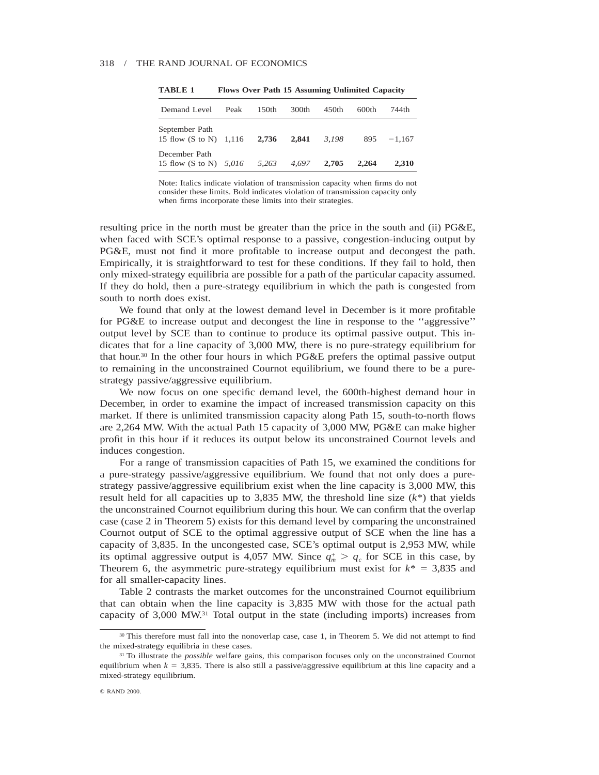| Demand Level                                        | Peak | 150 <sub>th</sub> | 300th | 450 <sub>th</sub> | 600th | 744th    |
|-----------------------------------------------------|------|-------------------|-------|-------------------|-------|----------|
| September Path<br>15 flow $(S \text{ to } N)$ 1,116 |      | 2,736             | 2.841 | 3.198             | 895   | $-1.167$ |
| December Path<br>15 flow $(S \text{ to } N)$ 5,016  |      | 5.263             | 4.697 | 2.705             | 2.264 | 2.310    |

**TABLE 1 Flows Over Path 15 Assuming Unlimited Capacity**

Note: Italics indicate violation of transmission capacity when firms do not consider these limits. Bold indicates violation of transmission capacity only when firms incorporate these limits into their strategies.

resulting price in the north must be greater than the price in the south and (ii) PG&E, when faced with SCE's optimal response to a passive, congestion-inducing output by PG&E, must not find it more profitable to increase output and decongest the path. Empirically, it is straightforward to test for these conditions. If they fail to hold, then only mixed-strategy equilibria are possible for a path of the particular capacity assumed. If they do hold, then a pure-strategy equilibrium in which the path is congested from south to north does exist.

We found that only at the lowest demand level in December is it more profitable for PG&E to increase output and decongest the line in response to the ''aggressive'' output level by SCE than to continue to produce its optimal passive output. This indicates that for a line capacity of 3,000 MW, there is no pure-strategy equilibrium for that hour.<sup>30</sup> In the other four hours in which  $PG\&E$  prefers the optimal passive output to remaining in the unconstrained Cournot equilibrium, we found there to be a purestrategy passive/aggressive equilibrium.

We now focus on one specific demand level, the 600th-highest demand hour in December, in order to examine the impact of increased transmission capacity on this market. If there is unlimited transmission capacity along Path 15, south-to-north flows are 2,264 MW. With the actual Path 15 capacity of 3,000 MW, PG&E can make higher profit in this hour if it reduces its output below its unconstrained Cournot levels and induces congestion.

For a range of transmission capacities of Path 15, we examined the conditions for a pure-strategy passive/aggressive equilibrium. We found that not only does a purestrategy passive/aggressive equilibrium exist when the line capacity is 3,000 MW, this result held for all capacities up to 3,835 MW, the threshold line size (*k*\*) that yields the unconstrained Cournot equilibrium during this hour. We can confirm that the overlap case (case 2 in Theorem 5) exists for this demand level by comparing the unconstrained Cournot output of SCE to the optimal aggressive output of SCE when the line has a capacity of 3,835. In the uncongested case, SCE's optimal output is 2,953 MW, while its optimal aggressive output is 4,057 MW. Since  $q_m^+ > q_c$  for SCE in this case, by Theorem 6, the asymmetric pure-strategy equilibrium must exist for  $k^* = 3,835$  and for all smaller-capacity lines.

Table 2 contrasts the market outcomes for the unconstrained Cournot equilibrium that can obtain when the line capacity is 3,835 MW with those for the actual path capacity of 3,000 MW.31 Total output in the state (including imports) increases from

<sup>&</sup>lt;sup>30</sup> This therefore must fall into the nonoverlap case, case 1, in Theorem 5. We did not attempt to find the mixed-strategy equilibria in these cases.

<sup>31</sup> To illustrate the *possible* welfare gains, this comparison focuses only on the unconstrained Cournot equilibrium when  $k = 3,835$ . There is also still a passive/aggressive equilibrium at this line capacity and a mixed-strategy equilibrium.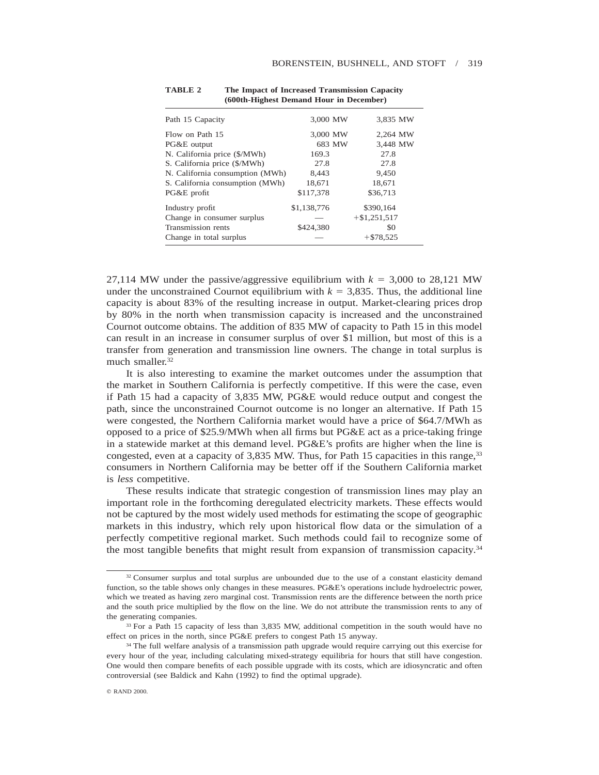| Path 15 Capacity                | 3,000 MW    | 3,835 MW       |
|---------------------------------|-------------|----------------|
| Flow on Path 15                 | 3,000 MW    | 2,264 MW       |
| PG&E output                     | 683 MW      | 3,448 MW       |
| N. California price (\$/MWh)    | 169.3       | 27.8           |
| S. California price (\$/MWh)    | 27.8        | 27.8           |
| N. California consumption (MWh) | 8,443       | 9,450          |
| S. California consumption (MWh) | 18,671      | 18,671         |
| PG&E profit                     | \$117,378   | \$36,713       |
| Industry profit                 | \$1,138,776 | \$390,164      |
| Change in consumer surplus      |             | $+ $1,251,517$ |
| Transmission rents              | \$424,380   | \$0            |
| Change in total surplus         |             | $+ $78,525$    |

**TABLE 2 The Impact of Increased Transmission Capacity (600th-Highest Demand Hour in December)**

27,114 MW under the passive/aggressive equilibrium with  $k = 3,000$  to 28,121 MW under the unconstrained Cournot equilibrium with  $k = 3,835$ . Thus, the additional line capacity is about 83% of the resulting increase in output. Market-clearing prices drop by 80% in the north when transmission capacity is increased and the unconstrained Cournot outcome obtains. The addition of 835 MW of capacity to Path 15 in this model can result in an increase in consumer surplus of over \$1 million, but most of this is a transfer from generation and transmission line owners. The change in total surplus is much smaller.<sup>32</sup>

It is also interesting to examine the market outcomes under the assumption that the market in Southern California is perfectly competitive. If this were the case, even if Path 15 had a capacity of 3,835 MW, PG&E would reduce output and congest the path, since the unconstrained Cournot outcome is no longer an alternative. If Path 15 were congested, the Northern California market would have a price of \$64.7/MWh as opposed to a price of \$25.9/MWh when all firms but PG&E act as a price-taking fringe in a statewide market at this demand level. PG&E's profits are higher when the line is congested, even at a capacity of 3,835 MW. Thus, for Path 15 capacities in this range,<sup>33</sup> consumers in Northern California may be better off if the Southern California market is *less* competitive.

These results indicate that strategic congestion of transmission lines may play an important role in the forthcoming deregulated electricity markets. These effects would not be captured by the most widely used methods for estimating the scope of geographic markets in this industry, which rely upon historical flow data or the simulation of a perfectly competitive regional market. Such methods could fail to recognize some of the most tangible benefits that might result from expansion of transmission capacity.34

<sup>&</sup>lt;sup>32</sup> Consumer surplus and total surplus are unbounded due to the use of a constant elasticity demand function, so the table shows only changes in these measures. PG&E's operations include hydroelectric power, which we treated as having zero marginal cost. Transmission rents are the difference between the north price and the south price multiplied by the flow on the line. We do not attribute the transmission rents to any of the generating companies.

<sup>&</sup>lt;sup>33</sup> For a Path 15 capacity of less than 3,835 MW, additional competition in the south would have no effect on prices in the north, since PG&E prefers to congest Path 15 anyway.

<sup>&</sup>lt;sup>34</sup> The full welfare analysis of a transmission path upgrade would require carrying out this exercise for every hour of the year, including calculating mixed-strategy equilibria for hours that still have congestion. One would then compare benefits of each possible upgrade with its costs, which are idiosyncratic and often controversial (see Baldick and Kahn (1992) to find the optimal upgrade).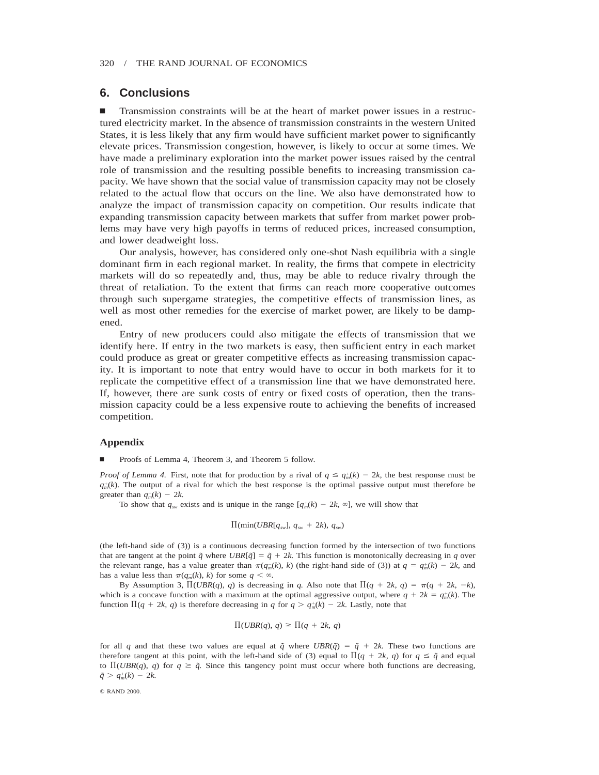# **6. Conclusions**

n Transmission constraints will be at the heart of market power issues in a restructured electricity market. In the absence of transmission constraints in the western United States, it is less likely that any firm would have sufficient market power to significantly elevate prices. Transmission congestion, however, is likely to occur at some times. We have made a preliminary exploration into the market power issues raised by the central role of transmission and the resulting possible benefits to increasing transmission capacity. We have shown that the social value of transmission capacity may not be closely related to the actual flow that occurs on the line. We also have demonstrated how to analyze the impact of transmission capacity on competition. Our results indicate that expanding transmission capacity between markets that suffer from market power problems may have very high payoffs in terms of reduced prices, increased consumption, and lower deadweight loss.

Our analysis, however, has considered only one-shot Nash equilibria with a single dominant firm in each regional market. In reality, the firms that compete in electricity markets will do so repeatedly and, thus, may be able to reduce rivalry through the threat of retaliation. To the extent that firms can reach more cooperative outcomes through such supergame strategies, the competitive effects of transmission lines, as well as most other remedies for the exercise of market power, are likely to be dampened.

Entry of new producers could also mitigate the effects of transmission that we identify here. If entry in the two markets is easy, then sufficient entry in each market could produce as great or greater competitive effects as increasing transmission capacity. It is important to note that entry would have to occur in both markets for it to replicate the competitive effect of a transmission line that we have demonstrated here. If, however, there are sunk costs of entry or fixed costs of operation, then the transmission capacity could be a less expensive route to achieving the benefits of increased competition.

## **Appendix**

Proofs of Lemma 4, Theorem 3, and Theorem 5 follow.

*Proof of Lemma 4.* First, note that for production by a rival of  $q \leq q_m^+(k) - 2k$ , the best response must be  $q_m^+(k)$ . The output of a rival for which the best response is the optimal passive output must therefore be greater than  $q_m^+(k) - 2k$ .

To show that  $q_{sw}$  exists and is unique in the range  $[q_m^+(k) - 2k, \infty]$ , we will show that

$$
\Pi(\min(UBR[q_{\rm sw}], q_{\rm sw} + 2k), q_{\rm sw})
$$

(the left-hand side of (3)) is a continuous decreasing function formed by the intersection of two functions that are tangent at the point  $\tilde{q}$  where UBR[ $\tilde{q}$ ] =  $\tilde{q}$  + 2k. This function is monotonically decreasing in *q* over the relevant range, has a value greater than  $\pi(q_m(k), k)$  (the right-hand side of (3)) at  $q = q_m^+(k) - 2k$ , and has a value less than  $\pi(q_m^-(k), k)$  for some  $q < \infty$ .

By Assumption 3,  $\Pi(UBR(q), q)$  is decreasing in *q*. Also note that  $\Pi(q + 2k, q) = \pi(q + 2k, -k)$ , which is a concave function with a maximum at the optimal aggressive output, where  $q + 2k = q_m^+(k)$ . The function  $\Pi(q + 2k, q)$  is therefore decreasing in *q* for  $q > q_m^+(k) - 2k$ . Lastly, note that

$$
\Pi(UBR(q), q) \ge \Pi(q + 2k, q)
$$

for all *q* and that these two values are equal at  $\tilde{q}$  where  $UBR(\tilde{q}) = \tilde{q} + 2k$ . These two functions are therefore tangent at this point, with the left-hand side of (3) equal to  $\Pi(q + 2k, q)$  for  $q \leq \tilde{q}$  and equal to  $\Pi(UBR(q), q)$  for  $q \ge \tilde{q}$ . Since this tangency point must occur where both functions are decreasing,  $\tilde{q} > q_m^+(k) - 2k$ .

© RAND 2000.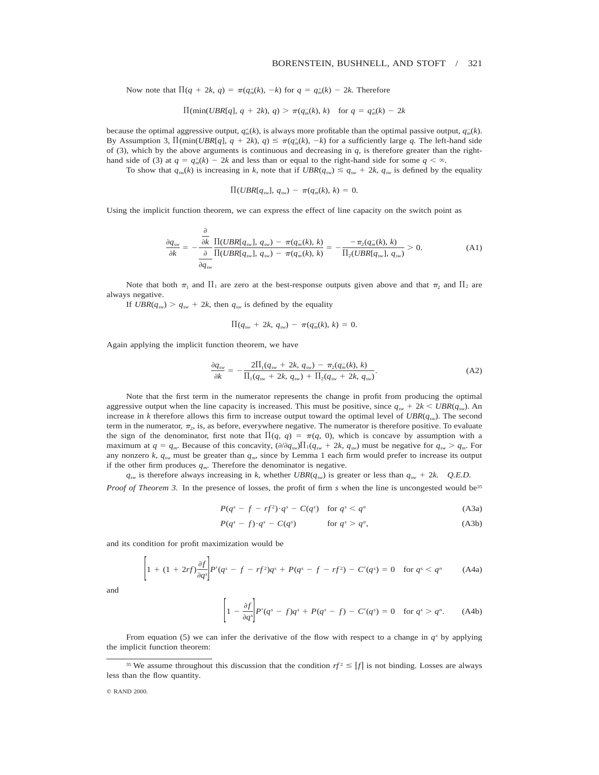## BORENSTEIN, BUSHNELL, AND STOFT / 321

Now note that  $\Pi(q + 2k, q) = \pi(q_m^+(k), -k)$  for  $q = q_m^+(k) - 2k$ . Therefore

$$
\Pi(\min(UBR[q], q + 2k), q) > \pi(q_m(k), k)
$$
 for  $q = q_m^+(k) - 2k$ 

because the optimal aggressive output,  $q_m^+(k)$ , is always more profitable than the optimal passive output,  $q_m^-(k)$ . By Assumption 3,  $\Pi(\min(UBR[q], q + 2k), q) \leq \pi(q_m^+(k), -k)$  for a sufficiently large *q*. The left-hand side of (3), which by the above arguments is continuous and decreasing in  $q$ , is therefore greater than the righthand side of (3) at  $q = q_m^+(k) - 2k$  and less than or equal to the right-hand side for some  $q < \infty$ .

To show that  $q_{sw}(k)$  is increasing in k, note that if  $UBR(q_{sw}) \leq q_{sw} + 2k$ ,  $q_{sw}$  is defined by the equality

$$
\Pi(UBR[q_{sw}], q_{sw}) - \pi(q_m^{-}(k), k) = 0.
$$

Using the implicit function theorem, we can express the effect of line capacity on the switch point as

$$
\frac{\partial q_{sw}}{\partial k} = -\frac{\frac{\partial}{\partial k}}{\frac{\partial}{\partial q_{sw}}} \frac{\Pi(UBR[q_{sw}], q_{sw}) - \pi(q_m(k), k)}{\Pi(UBR[q_{sw}], q_{sw}) - \pi(q_m(k), k)} = -\frac{-\pi_2(q_m(k), k)}{\Pi_2(UBR[q_{sw}], q_{sw})} > 0.
$$
\n(A1)

Note that both  $\pi_1$  and  $\Pi_1$  are zero at the best-response outputs given above and that  $\pi_2$  and  $\Pi_2$  are always negative.

If  $UBR(q_{sw}) > q_{sw} + 2k$ , then  $q_{sw}$  is defined by the equality

$$
\Pi(q_{sw} + 2k, q_{sw}) - \pi(q_m(k), k) = 0.
$$

Again applying the implicit function theorem, we have

$$
\frac{\partial q_{sw}}{\partial k} = -\frac{2\Pi_1(q_{sw} + 2k, q_{sw}) - \pi_2(q_m(k), k)}{\Pi_1(q_{sw} + 2k, q_{sw}) + \Pi_2(q_{sw} + 2k, q_{sw})}.
$$
(A2)

Note that the first term in the numerator represents the change in profit from producing the optimal aggressive output when the line capacity is increased. This must be positive, since  $q_{sw} + 2k < UBR(q_{sw})$ . An increase in *k* therefore allows this firm to increase output toward the optimal level of  $UBR(q_{sw})$ . The second term in the numerator,  $\pi_2$ , is, as before, everywhere negative. The numerator is therefore positive. To evaluate the sign of the denominator, first note that  $\Pi(q, q) = \pi(q, 0)$ , which is concave by assumption with a maximum at  $q = q_m$ . Because of this concavity,  $(\partial/\partial q_{sw})\Pi_1(q_{sw} + 2k, q_{sw})$  must be negative for  $q_{sw} > q_m$ . For any nonzero *k, q<sub>sw</sub>* must be greater than  $q_m$ , since by Lemma 1 each firm would prefer to increase its output if the other firm produces  $q_m$ . Therefore the denominator is negative.

 $q_{sw}$  is therefore always increasing in *k*, whether *UBR*( $q_{sw}$ ) is greater or less than  $q_{sw} + 2k$ . Q.E.D.

*Proof of Theorem 3.* In the presence of losses, the profit of firm *s* when the line is uncongested would be<sup>35</sup>

$$
P(q^s - f - rf^2) \cdot q^s - C(q^s) \quad \text{for } q^s < q^n \tag{A3a}
$$

$$
P(qs - f) \cdot qs - C(qs) \qquad \text{for } qs > qn, \tag{A3b}
$$

and its condition for profit maximization would be

$$
\left[1 + (1 + 2rf)\frac{\partial f}{\partial q^s}\right]P'(q^s - f - rf^2)q^s + P(q^s - f - rf^2) - C'(q^s) = 0 \text{ for } q^s < q^n \tag{A4a}
$$

and

 $\mathbb{R}^2$ 

$$
\left[1-\frac{\partial f}{\partial q^s}\right]P'(q^s-f)q^s+P(q^s-f)-C'(q^s)=0 \text{ for } q^s>q^n. \tag{A4b}
$$

From equation (5) we can infer the derivative of the flow with respect to a change in  $q<sup>s</sup>$  by applying the implicit function theorem:

<sup>&</sup>lt;sup>35</sup> We assume throughout this discussion that the condition  $rf^2 \leq |f|$  is not binding. Losses are always less than the flow quantity.

<sup>©</sup> RAND 2000.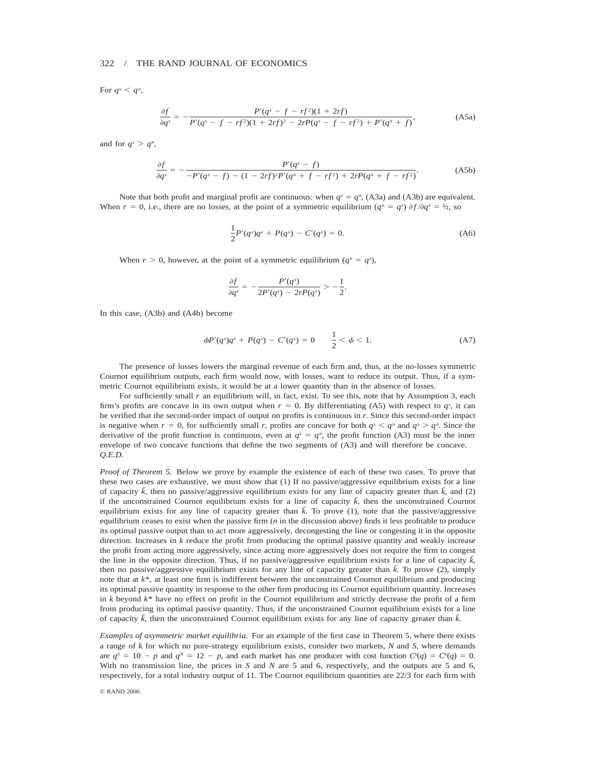For  $q^s < q^n$ ,

$$
\frac{\partial f}{\partial q^s} = -\frac{P'(q^s - f - rf^2)(1 + 2rf)}{P'(q^s - f - rf^2)(1 + 2rf)^2 - 2rP(q^s - f - rf^2) + P'(q^n + f)},\tag{A5a}
$$

and for  $q^s > q^n$ ,

$$
\frac{\partial f}{\partial q^s} = -\frac{P'(q^s - f)}{-P'(q^s - f) - (1 - 2rf)^2 P'(q^n + f - rf^2) + 2rP(q^n + f - rf^2)}.
$$
\n(A5b)

Note that both profit and marginal profit are continuous: when  $q<sup>s</sup> = q<sup>n</sup>$ , (A3a) and (A3b) are equivalent. When  $r = 0$ , i.e., there are no losses, at the point of a symmetric equilibrium  $(q^n = q^s) \frac{\partial f}{\partial q^s} = \frac{1}{2}$ , so

$$
\frac{1}{2}P'(q^s)q^s + P(q^s) - C'(q^s) = 0.
$$
\n(A6)

When  $r > 0$ , however, at the point of a symmetric equilibrium  $(q^n = q^s)$ ,

$$
\frac{\partial f}{\partial q^s} = -\frac{P'(q^s)}{2P'(q^s) - 2rP(q^s)} > -\frac{1}{2}.
$$

In this case, (A3b) and (A4b) become

$$
\phi P'(q^s)q^s + P(q^s) - C'(q^s) = 0 \qquad \frac{1}{2} < \phi < 1. \tag{A7}
$$

The presence of losses lowers the marginal revenue of each firm and, thus, at the no-losses symmetric Cournot equilibrium outputs, each firm would now, with losses, want to reduce its output. Thus, if a symmetric Cournot equilibrium exists, it would be at a lower quantity than in the absence of losses.

For sufficiently small *r* an equilibrium will, in fact, exist. To see this, note that by Assumption 3, each firm's profits are concave in its own output when  $r = 0$ . By differentiating (A5) with respect to  $q<sup>s</sup>$ , it can be verified that the second-order impact of output on profits is continuous in *r.* Since this second-order impact is negative when  $r = 0$ , for sufficiently small *r*, profits are concave for both  $q<sup>s</sup> < q<sup>n</sup>$  and  $q<sup>s</sup> > q<sup>n</sup>$ . Since the derivative of the profit function is continuous, even at  $q^s = q^n$ , the profit function (A3) must be the inner envelope of two concave functions that define the two segments of (A3) and will therefore be concave. *Q.E.D.*

*Proof of Theorem 5.* Below we prove by example the existence of each of these two cases. To prove that these two cases are exhaustive, we must show that (1) If no passive/aggressive equilibrium exists for a line of capacity  $\tilde{k}$ , then no passive/aggressive equilibrium exists for any line of capacity greater than  $\tilde{k}$ , and (2) if the unconstrained Cournot equilibrium exists for a line of capacity  $\tilde{k}$ , then the unconstrained Cournot equilibrium exists for any line of capacity greater than  $\tilde{k}$ . To prove (1), note that the passive/aggressive equilibrium ceases to exist when the passive firm (*n* in the discussion above) finds it less profitable to produce its optimal passive output than to act more aggressively, decongesting the line or congesting it in the opposite direction. Increases in  $k$  reduce the profit from producing the optimal passive quantity and weakly increase the profit from acting more aggressively, since acting more aggressively does not require the firm to congest the line in the opposite direction. Thus, if no passive/aggressive equilibrium exists for a line of capacity  $\vec{k}$ , then no passive/aggressive equilibrium exists for any line of capacity greater than  $\tilde{k}$ . To prove (2), simply note that at *k*\*, at least one firm is indifferent between the unconstrained Cournot equilibrium and producing its optimal passive quantity in response to the other firm producing its Cournot equilibrium quantity. Increases in *k* beyond *k*\* have no effect on profit in the Cournot equilibrium and strictly decrease the profit of a firm from producing its optimal passive quantity. Thus, if the unconstrained Cournot equilibrium exists for a line of capacity  $\vec{k}$ , then the unconstrained Cournot equilibrium exists for any line of capacity greater than  $\vec{k}$ .

*Examples of asymmetric market equilibria.* For an example of the first case in Theorem 5, where there exists a range of *k* for which no pure-strategy equilibrium exists, consider two markets, *N* and *S,* where demands are  $q^s = 10 - p$  and  $q^N = 12 - p$ , and each market has one producer with cost function  $C^s(q) = C^n(q) = 0$ . With no transmission line, the prices in *S* and *N* are 5 and 6, respectively, and the outputs are 5 and 6, respectively, for a total industry output of 11. The Cournot equilibrium quantities are 22/3 for each firm with

q RAND 2000.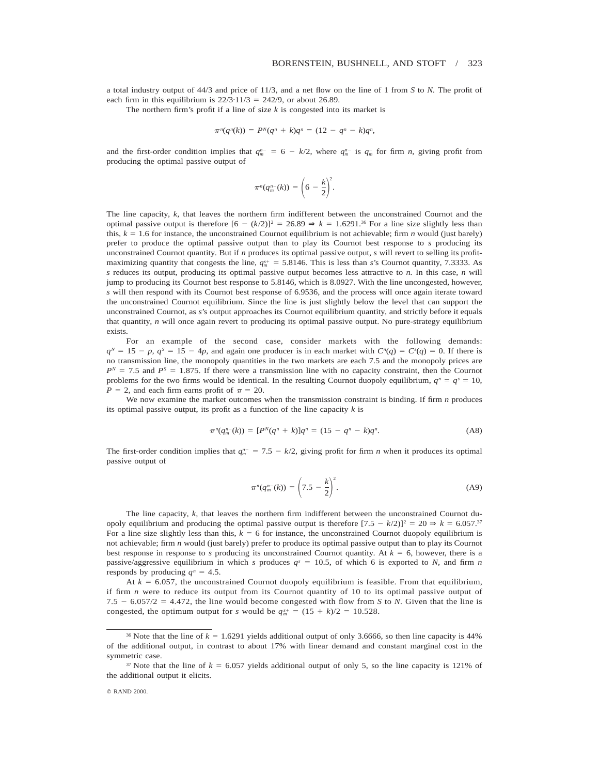a total industry output of 44/3 and price of 11/3, and a net flow on the line of 1 from *S* to *N.* The profit of each firm in this equilibrium is  $22/3.11/3 = 242/9$ , or about 26.89.

The northern firm's profit if a line of size  $k$  is congested into its market is

$$
\pi^{n}(q^{n}(k)) = P^{N}(q^{n} + k)q^{n} = (12 - q^{n} - k)q^{n},
$$

and the first-order condition implies that  $q_m^{n-} = 6 - k/2$ , where  $q_m^{n-}$  is  $q_m^-$  for firm *n*, giving profit from producing the optimal passive output of

$$
\pi^n(q_m^{n-}(k))=\bigg(6-\frac{k}{2}\bigg)^2.
$$

The line capacity, *k,* that leaves the northern firm indifferent between the unconstrained Cournot and the optimal passive output is therefore  $[6 - (k/2)]^2 = 26.89 \Rightarrow k = 1.6291$ .<sup>36</sup> For a line size slightly less than this,  $k = 1.6$  for instance, the unconstrained Cournot equilibrium is not achievable; firm *n* would (just barely) prefer to produce the optimal passive output than to play its Cournot best response to *s* producing its unconstrained Cournot quantity. But if *n* produces its optimal passive output, *s* will revert to selling its profitmaximizing quantity that congests the line,  $q_{m}^{s+} = 5.8146$ . This is less than *s*'s Cournot quantity, 7.3333. As *s* reduces its output, producing its optimal passive output becomes less attractive to *n.* In this case, *n* will jump to producing its Cournot best response to 5.8146, which is 8.0927. With the line uncongested, however, *s* will then respond with its Cournot best response of 6.9536, and the process will once again iterate toward the unconstrained Cournot equilibrium. Since the line is just slightly below the level that can support the unconstrained Cournot, as *s*'s output approaches its Cournot equilibrium quantity, and strictly before it equals that quantity, *n* will once again revert to producing its optimal passive output. No pure-strategy equilibrium exists.

For an example of the second case, consider markets with the following demands:  $q^N = 15 - p$ ,  $q^S = 15 - 4p$ , and again one producer is in each market with  $C^n(q) = C^s(q) = 0$ . If there is no transmission line, the monopoly quantities in the two markets are each 7.5 and the monopoly prices are  $P<sup>N</sup> = 7.5$  and  $P<sup>S</sup> = 1.875$ . If there were a transmission line with no capacity constraint, then the Cournot problems for the two firms would be identical. In the resulting Cournot duopoly equilibrium,  $q^n = q^s = 10$ ,  $P = 2$ , and each firm earns profit of  $\pi = 20$ .

We now examine the market outcomes when the transmission constraint is binding. If firm *n* produces its optimal passive output, its profit as a function of the line capacity *k* is

$$
\pi^{n}(q_{m}^{n-}(k)) = [P^{N}(q^{n} + k)]q^{n} = (15 - q^{n} - k)q^{n}.
$$
 (A8)

The first-order condition implies that  $q_m^{n-1} = 7.5 - k/2$ , giving profit for firm *n* when it produces its optimal passive output of

$$
\pi^{n}(q_{m}^{n-}(k)) = \left(7.5 - \frac{k}{2}\right)^{2}.
$$
 (A9)

The line capacity, *k,* that leaves the northern firm indifferent between the unconstrained Cournot duopoly equilibrium and producing the optimal passive output is therefore  $[7.5 - k/2]$ <sup>2</sup> = 20  $\Rightarrow k = 6.057$ .<sup>37</sup> For a line size slightly less than this,  $k = 6$  for instance, the unconstrained Cournot duopoly equilibrium is not achievable; firm *n* would (just barely) prefer to produce its optimal passive output than to play its Cournot best response in response to *s* producing its unconstrained Cournot quantity. At  $k = 6$ , however, there is a passive/aggressive equilibrium in which *s* produces  $q<sup>s</sup> = 10.5$ , of which 6 is exported to *N*, and firm *n* responds by producing  $q^n = 4.5$ .

At  $k = 6.057$ , the unconstrained Cournot duopoly equilibrium is feasible. From that equilibrium, if firm *n* were to reduce its output from its Cournot quantity of 10 to its optimal passive output of 7.5  $-$  6.057/2  $=$  4.472, the line would become congested with flow from *S* to *N*. Given that the line is congested, the optimum output for *s* would be  $q_m^{s+} = (15 + k)/2 = 10.528$ .

<sup>&</sup>lt;sup>36</sup> Note that the line of  $k = 1.6291$  yields additional output of only 3.6666, so then line capacity is 44% of the additional output, in contrast to about 17% with linear demand and constant marginal cost in the symmetric case.

<sup>&</sup>lt;sup>37</sup> Note that the line of  $k = 6.057$  yields additional output of only 5, so the line capacity is 121% of the additional output it elicits.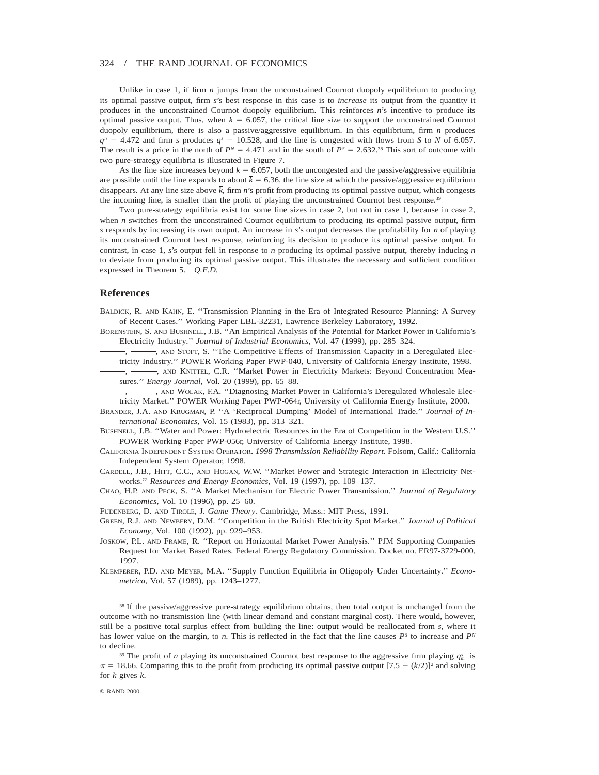Unlike in case 1, if firm *n* jumps from the unconstrained Cournot duopoly equilibrium to producing its optimal passive output, firm *s*'s best response in this case is to *increase* its output from the quantity it produces in the unconstrained Cournot duopoly equilibrium. This reinforces *n*'s incentive to produce its optimal passive output. Thus, when  $k = 6.057$ , the critical line size to support the unconstrained Cournot duopoly equilibrium, there is also a passive/aggressive equilibrium. In this equilibrium, firm *n* produces  $q^n = 4.472$  and firm *s* produces  $q^s = 10.528$ , and the line is congested with flows from *S* to *N* of 6.057. The result is a price in the north of  $P^N = 4.471$  and in the south of  $P^S = 2.632^{38}$  This sort of outcome with two pure-strategy equilibria is illustrated in Figure 7.

As the line size increases beyond  $k = 6.057$ , both the uncongested and the passive/aggressive equilibria are possible until the line expands to about  $\bar{k} = 6.36$ , the line size at which the passive/aggressive equilibrium disappears. At any line size above  $\bar{k}$ , firm *n*'s profit from producing its optimal passive output, which congests the incoming line, is smaller than the profit of playing the unconstrained Cournot best response.<sup>39</sup>

Two pure-strategy equilibria exist for some line sizes in case 2, but not in case 1, because in case 2, when *n* switches from the unconstrained Cournot equilibrium to producing its optimal passive output, firm *s* responds by increasing its own output. An increase in *s*'s output decreases the profitability for *n* of playing its unconstrained Cournot best response, reinforcing its decision to produce its optimal passive output. In contrast, in case 1, *s*'s output fell in response to *n* producing its optimal passive output, thereby inducing *n* to deviate from producing its optimal passive output. This illustrates the necessary and sufficient condition expressed in Theorem 5. *Q.E.D.*

#### **References**

BALDICK, R. AND KAHN, E. ''Transmission Planning in the Era of Integrated Resource Planning: A Survey of Recent Cases.'' Working Paper LBL-32231, Lawrence Berkeley Laboratory, 1992.

BORENSTEIN, S. AND BUSHNELL, J.B. ''An Empirical Analysis of the Potential for Market Power in California's Electricity Industry.'' *Journal of Industrial Economics,* Vol. 47 (1999), pp. 285–324.

, , AND STOFT, S. ''The Competitive Effects of Transmission Capacity in a Deregulated Electricity Industry.'' POWER Working Paper PWP-040, University of California Energy Institute, 1998.

, -, -, AND KNITTEL, C.R. "Market Power in Electricity Markets: Beyond Concentration Measures.'' *Energy Journal,* Vol. 20 (1999), pp. 65–88.

-, AND WOLAK, F.A. "Diagnosing Market Power in California's Deregulated Wholesale Electricity Market.'' POWER Working Paper PWP-064r, University of California Energy Institute, 2000.

BRANDER, J.A. AND KRUGMAN, P. ''A 'Reciprocal Dumping' Model of International Trade.'' *Journal of International Economics,* Vol. 15 (1983), pp. 313–321.

BUSHNELL, J.B. ''Water and Power: Hydroelectric Resources in the Era of Competition in the Western U.S.'' POWER Working Paper PWP-056r, University of California Energy Institute, 1998.

CALIFORNIA INDEPENDENT SYSTEM OPERATOR. *1998 Transmission Reliability Report.* Folsom, Calif.: California Independent System Operator, 1998.

CARDELL, J.B., HITT, C.C., AND HOGAN, W.W. ''Market Power and Strategic Interaction in Electricity Networks.'' *Resources and Energy Economics,* Vol. 19 (1997), pp. 109–137.

CHAO, H.P. AND PECK, S. ''A Market Mechanism for Electric Power Transmission.'' *Journal of Regulatory Economics,* Vol. 10 (1996), pp. 25–60.

FUDENBERG, D. AND TIROLE, J. *Game Theory.* Cambridge, Mass.: MIT Press, 1991.

GREEN, R.J. AND NEWBERY, D.M. ''Competition in the British Electricity Spot Market.'' *Journal of Political Economy,* Vol. 100 (1992), pp. 929–953.

JOSKOW, P.L. AND FRAME, R. ''Report on Horizontal Market Power Analysis.'' PJM Supporting Companies Request for Market Based Rates. Federal Energy Regulatory Commission. Docket no. ER97-3729-000, 1997.

KLEMPERER, P.D. AND MEYER, M.A. ''Supply Function Equilibria in Oligopoly Under Uncertainty.'' *Econometrica,* Vol. 57 (1989), pp. 1243–1277.

<sup>38</sup> If the passive/aggressive pure-strategy equilibrium obtains, then total output is unchanged from the outcome with no transmission line (with linear demand and constant marginal cost). There would, however, still be a positive total surplus effect from building the line: output would be reallocated from *s,* where it has lower value on the margin, to *n*. This is reflected in the fact that the line causes  $P<sup>S</sup>$  to increase and  $P<sup>N</sup>$ to decline.

<sup>&</sup>lt;sup>39</sup> The profit of *n* playing its unconstrained Cournot best response to the aggressive firm playing  $q_m^*$  is  $\pi = 18.66$ . Comparing this to the profit from producing its optimal passive output  $[7.5 - (k/2)]^2$  and solving for *k* gives  $\overline{k}$ .